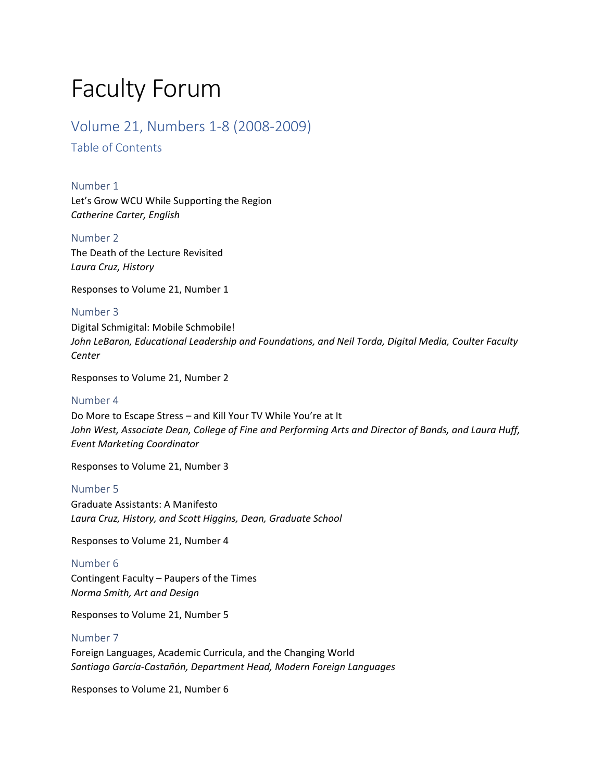# Faculty Forum

### Volume 21, Numbers 1-8 (2008-2009)

Table of Contents

Number 1 Let's [Grow WCU While Supporting the Region](#page-2-0) *Catherine Carter, English*

Number 2 The Death of the Lecture Revisited *Laura Cruz, History*

[Responses to Volume 21, Number 1](#page-4-0)

Number 3 Digital Schmigital: Mobile Schmobile! *[John LeBaron, Educational Leadership and Foundations, and Neil Torda, Digital Media, Coulter Faculty](#page-7-0)  Center*

Responses to Volume 21, Number 2

### Number 4

Do More to Escape Stress – and Kill Your TV While You're at It *[John West, Associate Dean, College of Fine and Performing Arts and Director of Bands, and Laura Huff,](#page-11-0)  Event Marketing Coordinator*

Responses to Volume 21, Number 3

### Number 5

Graduate Assistants: A Manifesto *[Laura Cruz, History, and Scott Higgins, Dean, Graduate School](#page-14-0)*

Responses to Volume 21, Number 4

Number 6 Contingent Faculty – Paupers of the Times *Norma Smith, Art and Design*

[Responses to Volume 21, Number 5](#page-17-0)

### Number 7

Foreign Languages, Academic Curricula, and the Changing World *[Santiago García-Castañón, Department Head, Modern Foreign Languages](#page-21-0)*

Responses to Volume 21, Number 6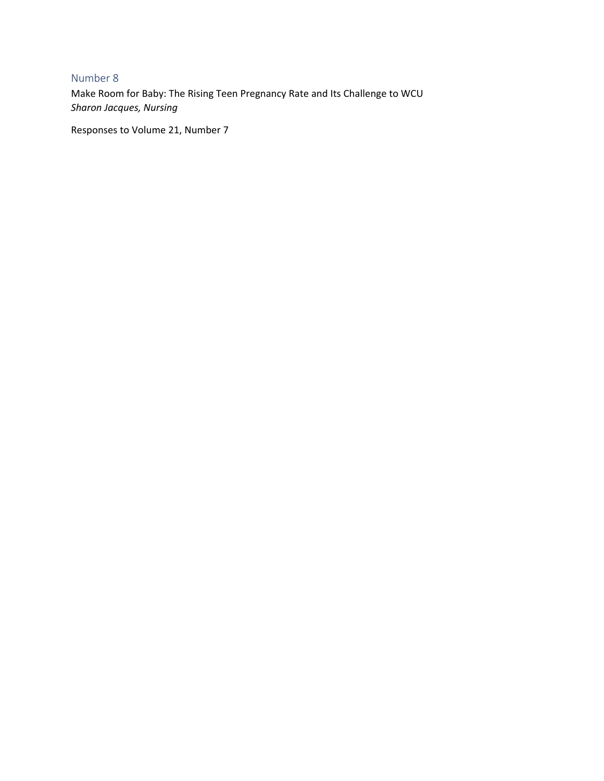### Number 8

[Make Room for Baby: The Rising Teen Pregnancy Rate and Its Challenge to WCU](#page-27-0) *Sharon Jacques, Nursing*

Responses to Volume 21, Number 7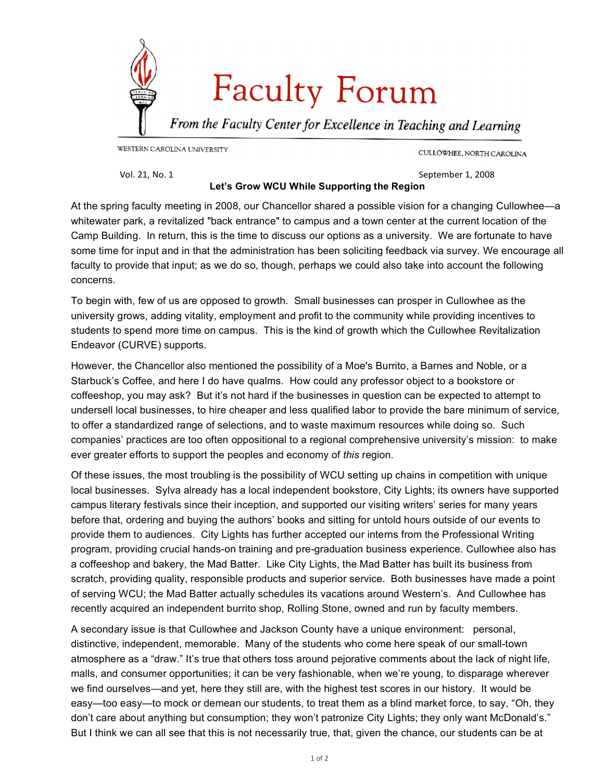<span id="page-2-0"></span>

CULLOWHEE, NORTH CAROLINA

Vol.
21,
No.
1 September
1,
2008

### **Let's Grow WCU While Supporting the Region**

At the spring faculty meeting in 2008, our Chancellor shared a possible vision for a changing Cullowhee—a whitewater park, a revitalized "back entrance" to campus and a town center at the current location of the Camp Building. In return, this is the time to discuss our options as a university. We are fortunate to have some time for input and in that the administration has been soliciting feedback via survey. We encourage all faculty to provide that input; as we do so, though, perhaps we could also take into account the following concerns.

To begin with, few of us are opposed to growth. Small businesses can prosper in Cullowhee as the university grows, adding vitality, employment and profit to the community while providing incentives to students to spend more time on campus. This is the kind of growth which the Cullowhee Revitalization Endeavor (CURVE) supports.

However, the Chancellor also mentioned the possibility of a Moe's Burrito, a Barnes and Noble, or a Starbuck's Coffee, and here I do have qualms. How could any professor object to a bookstore or coffeeshop, you may ask? But it's not hard if the businesses in question can be expected to attempt to undersell local businesses, to hire cheaper and less qualified labor to provide the bare minimum of service, to offer a standardized range of selections, and to waste maximum resources while doing so. Such companies' practices are too often oppositional to a regional comprehensive university's mission: to make ever greater efforts to support the peoples and economy of *this* region.

Of these issues, the most troubling is the possibility of WCU setting up chains in competition with unique local businesses. Sylva already has a local independent bookstore, City Lights; its owners have supported campus literary festivals since their inception, and supported our visiting writers' series for many years before that, ordering and buying the authors' books and sitting for untold hours outside of our events to provide them to audiences. City Lights has further accepted our interns from the Professional Writing program, providing crucial hands-on training and pre-graduation business experience. Cullowhee also has a coffeeshop and bakery, the Mad Batter. Like City Lights, the Mad Batter has built its business from scratch, providing quality, responsible products and superior service. Both businesses have made a point of serving WCU; the Mad Batter actually schedules its vacations around Western's. And Cullowhee has recently acquired an independent burrito shop, Rolling Stone, owned and run by faculty members.

A secondary issue is that Cullowhee and Jackson County have a unique environment: personal, distinctive, independent, memorable. Many of the students who come here speak of our small-town atmosphere as a "draw." It's true that others toss around pejorative comments about the lack of night life, malls, and consumer opportunities; it can be very fashionable, when we're young, to disparage wherever we find ourselves—and yet, here they still are, with the highest test scores in our history. It would be easy—too easy—to mock or demean our students, to treat them as a blind market force, to say, "Oh, they don't care about anything but consumption; they won't patronize City Lights; they only want McDonald's." But I think we can all see that this is not necessarily true, that, given the chance, our students can be at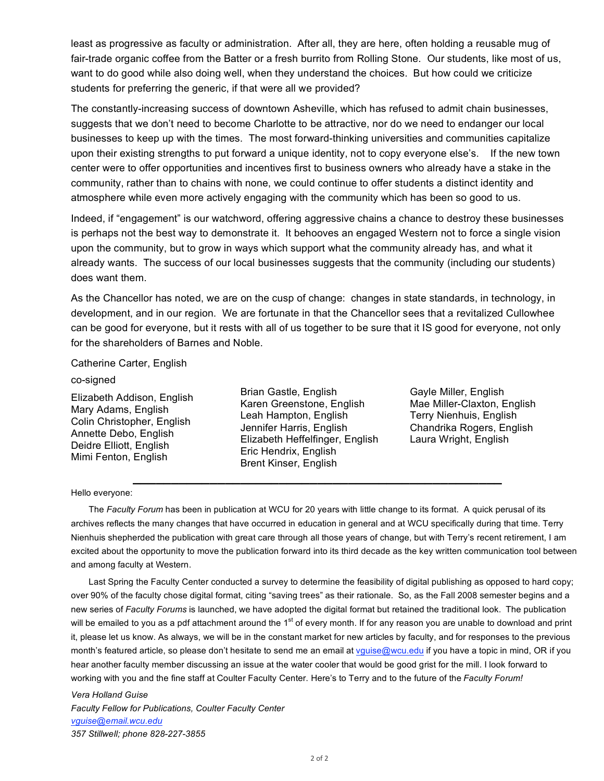least as progressive as faculty or administration. After all, they are here, often holding a reusable mug of fair-trade organic coffee from the Batter or a fresh burrito from Rolling Stone. Our students, like most of us, want to do good while also doing well, when they understand the choices. But how could we criticize students for preferring the generic, if that were all we provided?

The constantly-increasing success of downtown Asheville, which has refused to admit chain businesses, suggests that we don't need to become Charlotte to be attractive, nor do we need to endanger our local businesses to keep up with the times. The most forward-thinking universities and communities capitalize upon their existing strengths to put forward a unique identity, not to copy everyone else's. If the new town center were to offer opportunities and incentives first to business owners who already have a stake in the community, rather than to chains with none, we could continue to offer students a distinct identity and atmosphere while even more actively engaging with the community which has been so good to us.

Indeed, if "engagement" is our watchword, offering aggressive chains a chance to destroy these businesses is perhaps not the best way to demonstrate it. It behooves an engaged Western not to force a single vision upon the community, but to grow in ways which support what the community already has, and what it already wants. The success of our local businesses suggests that the community (including our students) does want them.

As the Chancellor has noted, we are on the cusp of change: changes in state standards, in technology, in development, and in our region. We are fortunate in that the Chancellor sees that a revitalized Cullowhee can be good for everyone, but it rests with all of us together to be sure that it IS good for everyone, not only for the shareholders of Barnes and Noble.

Catherine Carter, English

#### co-signed

Elizabeth Addison, English Mary Adams, English Colin Christopher, English Annette Debo, English Deidre Elliott, English Mimi Fenton, English

Brian Gastle, English Karen Greenstone, English Leah Hampton, English Jennifer Harris, English Elizabeth Heffelfinger, English Eric Hendrix, English Brent Kinser, English

**\_\_\_\_\_\_\_\_\_\_\_\_\_\_\_\_\_\_\_\_\_\_\_\_\_\_\_\_\_\_\_\_\_\_\_\_\_\_\_\_\_\_\_\_\_\_\_\_**

Gayle Miller, English Mae Miller-Claxton, English Terry Nienhuis, English Chandrika Rogers, English Laura Wright, English

#### Hello everyone:

The *Faculty Forum* has been in publication at WCU for 20 years with little change to its format. A quick perusal of its archives reflects the many changes that have occurred in education in general and at WCU specifically during that time. Terry Nienhuis shepherded the publication with great care through all those years of change, but with Terry's recent retirement, I am excited about the opportunity to move the publication forward into its third decade as the key written communication tool between and among faculty at Western.

Last Spring the Faculty Center conducted a survey to determine the feasibility of digital publishing as opposed to hard copy; over 90% of the faculty chose digital format, citing "saving trees" as their rationale. So, as the Fall 2008 semester begins and a new series of *Faculty Forums* is launched, we have adopted the digital format but retained the traditional look. The publication will be emailed to you as a pdf attachment around the 1<sup>st</sup> of every month. If for any reason you are unable to download and print it, please let us know. As always, we will be in the constant market for new articles by faculty, and for responses to the previous month's featured article, so please don't hesitate to send me an email at vguise@wcu.edu if you have a topic in mind, OR if you hear another faculty member discussing an issue at the water cooler that would be good grist for the mill. I look forward to working with you and the fine staff at Coulter Faculty Center. Here's to Terry and to the future of the *Faculty Forum!*

*Vera Holland Guise Faculty Fellow for Publications, Coulter Faculty Center vguise@email.wcu.edu 357 Stillwell; phone 828-227-3855*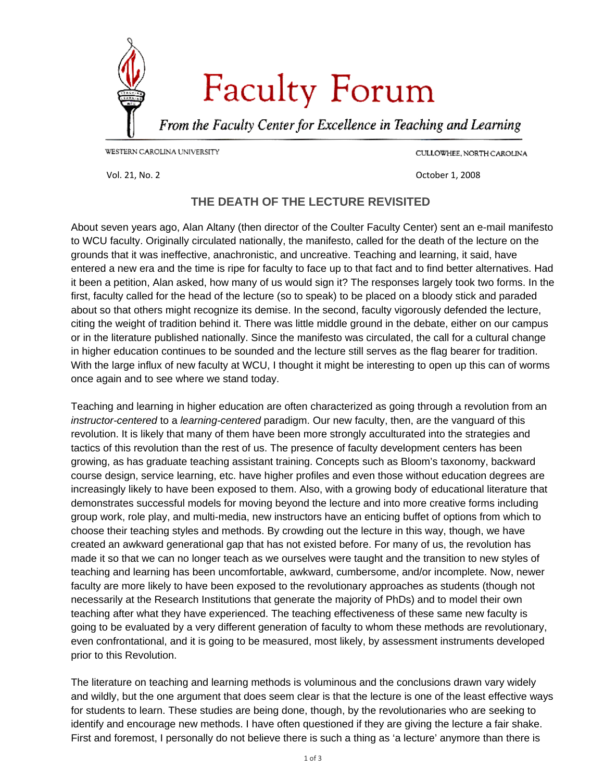<span id="page-4-0"></span>

CULLOWHEE, NORTH CAROLINA

Vol. 21, No. 2 October 1, 2008

### **THE DEATH OF THE LECTURE REVISITED**

About seven years ago, Alan Altany (then director of the Coulter Faculty Center) sent an e-mail manifesto to WCU faculty. Originally circulated nationally, the manifesto, called for the death of the lecture on the grounds that it was ineffective, anachronistic, and uncreative. Teaching and learning, it said, have entered a new era and the time is ripe for faculty to face up to that fact and to find better alternatives. Had it been a petition, Alan asked, how many of us would sign it? The responses largely took two forms. In the first, faculty called for the head of the lecture (so to speak) to be placed on a bloody stick and paraded about so that others might recognize its demise. In the second, faculty vigorously defended the lecture, citing the weight of tradition behind it. There was little middle ground in the debate, either on our campus or in the literature published nationally. Since the manifesto was circulated, the call for a cultural change in higher education continues to be sounded and the lecture still serves as the flag bearer for tradition. With the large influx of new faculty at WCU, I thought it might be interesting to open up this can of worms once again and to see where we stand today.

Teaching and learning in higher education are often characterized as going through a revolution from an *instructor-centered* to a *learning-centered* paradigm. Our new faculty, then, are the vanguard of this revolution. It is likely that many of them have been more strongly acculturated into the strategies and tactics of this revolution than the rest of us. The presence of faculty development centers has been growing, as has graduate teaching assistant training. Concepts such as Bloom's taxonomy, backward course design, service learning, etc. have higher profiles and even those without education degrees are increasingly likely to have been exposed to them. Also, with a growing body of educational literature that demonstrates successful models for moving beyond the lecture and into more creative forms including group work, role play, and multi-media, new instructors have an enticing buffet of options from which to choose their teaching styles and methods. By crowding out the lecture in this way, though, we have created an awkward generational gap that has not existed before. For many of us, the revolution has made it so that we can no longer teach as we ourselves were taught and the transition to new styles of teaching and learning has been uncomfortable, awkward, cumbersome, and/or incomplete. Now, newer faculty are more likely to have been exposed to the revolutionary approaches as students (though not necessarily at the Research Institutions that generate the majority of PhDs) and to model their own teaching after what they have experienced. The teaching effectiveness of these same new faculty is going to be evaluated by a very different generation of faculty to whom these methods are revolutionary, even confrontational, and it is going to be measured, most likely, by assessment instruments developed prior to this Revolution.

The literature on teaching and learning methods is voluminous and the conclusions drawn vary widely and wildly, but the one argument that does seem clear is that the lecture is one of the least effective ways for students to learn. These studies are being done, though, by the revolutionaries who are seeking to identify and encourage new methods. I have often questioned if they are giving the lecture a fair shake. First and foremost, I personally do not believe there is such a thing as 'a lecture' anymore than there is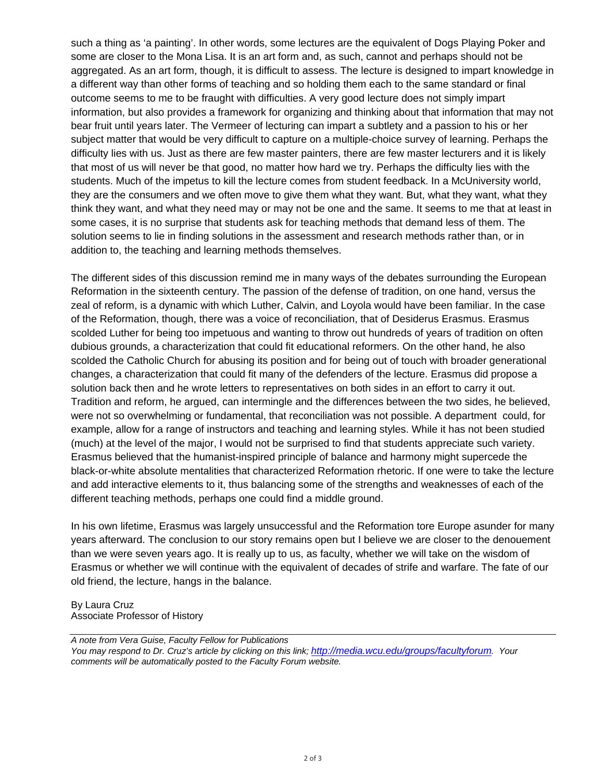such a thing as 'a painting'. In other words, some lectures are the equivalent of Dogs Playing Poker and some are closer to the Mona Lisa. It is an art form and, as such, cannot and perhaps should not be aggregated. As an art form, though, it is difficult to assess. The lecture is designed to impart knowledge in a different way than other forms of teaching and so holding them each to the same standard or final outcome seems to me to be fraught with difficulties. A very good lecture does not simply impart information, but also provides a framework for organizing and thinking about that information that may not bear fruit until years later. The Vermeer of lecturing can impart a subtlety and a passion to his or her subject matter that would be very difficult to capture on a multiple-choice survey of learning. Perhaps the difficulty lies with us. Just as there are few master painters, there are few master lecturers and it is likely that most of us will never be that good, no matter how hard we try. Perhaps the difficulty lies with the students. Much of the impetus to kill the lecture comes from student feedback. In a McUniversity world, they are the consumers and we often move to give them what they want. But, what they want, what they think they want, and what they need may or may not be one and the same. It seems to me that at least in some cases, it is no surprise that students ask for teaching methods that demand less of them. The solution seems to lie in finding solutions in the assessment and research methods rather than, or in addition to, the teaching and learning methods themselves.

The different sides of this discussion remind me in many ways of the debates surrounding the European Reformation in the sixteenth century. The passion of the defense of tradition, on one hand, versus the zeal of reform, is a dynamic with which Luther, Calvin, and Loyola would have been familiar. In the case of the Reformation, though, there was a voice of reconciliation, that of Desiderus Erasmus. Erasmus scolded Luther for being too impetuous and wanting to throw out hundreds of years of tradition on often dubious grounds, a characterization that could fit educational reformers. On the other hand, he also scolded the Catholic Church for abusing its position and for being out of touch with broader generational changes, a characterization that could fit many of the defenders of the lecture. Erasmus did propose a solution back then and he wrote letters to representatives on both sides in an effort to carry it out. Tradition and reform, he argued, can intermingle and the differences between the two sides, he believed, were not so overwhelming or fundamental, that reconciliation was not possible. A department could, for example, allow for a range of instructors and teaching and learning styles. While it has not been studied (much) at the level of the major, I would not be surprised to find that students appreciate such variety. Erasmus believed that the humanist-inspired principle of balance and harmony might supercede the black-or-white absolute mentalities that characterized Reformation rhetoric. If one were to take the lecture and add interactive elements to it, thus balancing some of the strengths and weaknesses of each of the different teaching methods, perhaps one could find a middle ground.

In his own lifetime, Erasmus was largely unsuccessful and the Reformation tore Europe asunder for many years afterward. The conclusion to our story remains open but I believe we are closer to the denouement than we were seven years ago. It is really up to us, as faculty, whether we will take on the wisdom of Erasmus or whether we will continue with the equivalent of decades of strife and warfare. The fate of our old friend, the lecture, hangs in the balance.

By Laura Cruz Associate Professor of History

*A note from Vera Guise, Faculty Fellow for Publications You may respond to Dr. Cruz's article by clicking on this link; <http://media.wcu.edu/groups/facultyforum>. Your comments will be automatically posted to the Faculty Forum website.*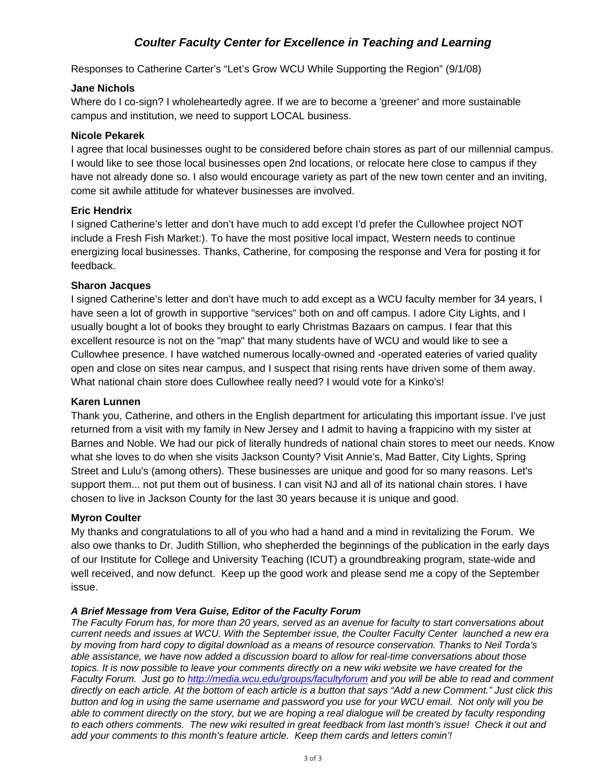### *Coulter Faculty Center for Excellence in Teaching and Learning*

Responses to Catherine Carter's "Let's Grow WCU While Supporting the Region" (9/1/08)

### **Jane Nichols**

Where do I co-sign? I wholeheartedly agree. If we are to become a 'greener' and more sustainable campus and institution, we need to support LOCAL business.

### **Nicole Pekarek**

I agree that local businesses ought to be considered before chain stores as part of our millennial campus. I would like to see those local businesses open 2nd locations, or relocate here close to campus if they have not already done so. I also would encourage variety as part of the new town center and an inviting, come sit awhile attitude for whatever businesses are involved.

### **Eric Hendrix**

I signed Catherine's letter and don't have much to add except I'd prefer the Cullowhee project NOT include a Fresh Fish Market:). To have the most positive local impact, Western needs to continue energizing local businesses. Thanks, Catherine, for composing the response and Vera for posting it for feedback.

### **Sharon Jacques**

I signed Catherine's letter and don't have much to add except as a WCU faculty member for 34 years, I have seen a lot of growth in supportive "services" both on and off campus. I adore City Lights, and I usually bought a lot of books they brought to early Christmas Bazaars on campus. I fear that this excellent resource is not on the "map" that many students have of WCU and would like to see a Cullowhee presence. I have watched numerous locally-owned and -operated eateries of varied quality open and close on sites near campus, and I suspect that rising rents have driven some of them away. What national chain store does Cullowhee really need? I would vote for a Kinko's!

### **Karen Lunnen**

Thank you, Catherine, and others in the English department for articulating this important issue. I've just returned from a visit with my family in New Jersey and I admit to having a frappicino with my sister at Barnes and Noble. We had our pick of literally hundreds of national chain stores to meet our needs. Know what she loves to do when she visits Jackson County? Visit Annie's, Mad Batter, City Lights, Spring Street and Lulu's (among others). These businesses are unique and good for so many reasons. Let's support them... not put them out of business. I can visit NJ and all of its national chain stores. I have chosen to live in Jackson County for the last 30 years because it is unique and good.

### **Myron Coulter**

My thanks and congratulations to all of you who had a hand and a mind in revitalizing the Forum. We also owe thanks to Dr. Judith Stillion, who shepherded the beginnings of the publication in the early days of our Institute for College and University Teaching (ICUT) a groundbreaking program, state-wide and well received, and now defunct. Keep up the good work and please send me a copy of the September issue.

### *A Brief Message from Vera Guise, Editor of the Faculty Forum*

*The Faculty Forum has, for more than 20 years, served as an avenue for faculty to start conversations about current needs and issues at WCU. With the September issue, the Coulter Faculty Center launched a new era by moving from hard copy to digital download as a means of resource conservation. Thanks to Neil Torda's able assistance, we have now added a discussion board to allow for real-time conversations about those topics. It is now possible to leave your comments directly on a new wiki website we have created for the Faculty Forum. Just go to<http://media.wcu.edu/groups/facultyforum> and you will be able to read and comment directly on each article. At the bottom of each article is a button that says "Add a new Comment." Just click this button and log in using the same username and password you use for your WCU email. Not only will you be able to comment directly on the story, but we are hoping a real dialogue will be created by faculty responding to each others comments. The new wiki resulted in great feedback from last month's issue! Check it out and add your comments to this month's feature article. Keep them cards and letters comin'!*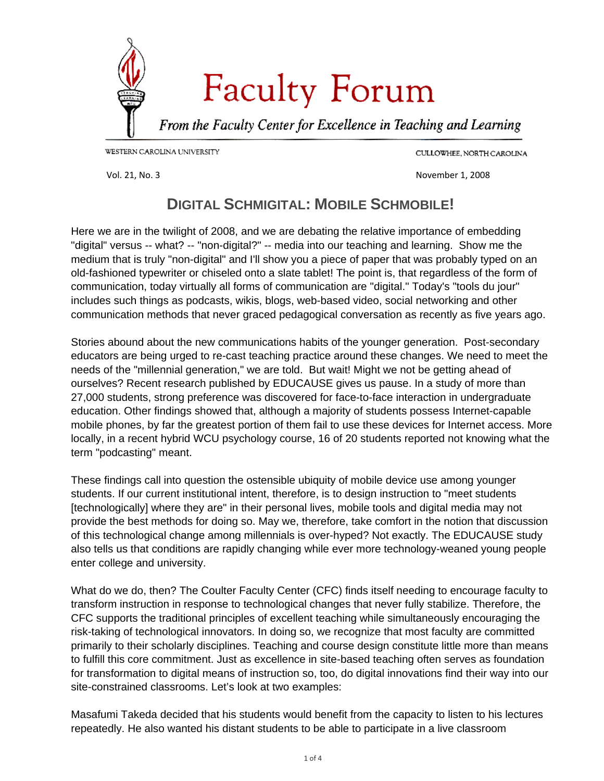<span id="page-7-0"></span>

CULLOWHEE, NORTH CAROLINA

Vol. 21, No. 3 November 1, 2008

# **DIGITAL SCHMIGITAL: MOBILE SCHMOBILE!**

Here we are in the twilight of 2008, and we are debating the relative importance of embedding "digital" versus -- what? -- "non-digital?" -- media into our teaching and learning. Show me the medium that is truly "non-digital" and I'll show you a piece of paper that was probably typed on an old-fashioned typewriter or chiseled onto a slate tablet! The point is, that regardless of the form of communication, today virtually all forms of communication are "digital." Today's "tools du jour" includes such things as podcasts, wikis, blogs, web-based video, social networking and other communication methods that never graced pedagogical conversation as recently as five years ago.

Stories abound about the new communications habits of the younger generation. Post-secondary educators are being urged to re-cast teaching practice around these changes. We need to meet the needs of the "millennial generation," we are told. But wait! Might we not be getting ahead of ourselves? Recent research published by EDUCAUSE gives us pause. In a study of more than 27,000 students, strong preference was discovered for face-to-face interaction in undergraduate education. Other findings showed that, although a majority of students possess Internet-capable mobile phones, by far the greatest portion of them fail to use these devices for Internet access. More locally, in a recent hybrid WCU psychology course, 16 of 20 students reported not knowing what the term "podcasting" meant.

These findings call into question the ostensible ubiquity of mobile device use among younger students. If our current institutional intent, therefore, is to design instruction to "meet students [technologically] where they are" in their personal lives, mobile tools and digital media may not provide the best methods for doing so. May we, therefore, take comfort in the notion that discussion of this technological change among millennials is over-hyped? Not exactly. The EDUCAUSE study also tells us that conditions are rapidly changing while ever more technology-weaned young people enter college and university.

What do we do, then? The Coulter Faculty Center (CFC) finds itself needing to encourage faculty to transform instruction in response to technological changes that never fully stabilize. Therefore, the CFC supports the traditional principles of excellent teaching while simultaneously encouraging the risk-taking of technological innovators. In doing so, we recognize that most faculty are committed primarily to their scholarly disciplines. Teaching and course design constitute little more than means to fulfill this core commitment. Just as excellence in site-based teaching often serves as foundation for transformation to digital means of instruction so, too, do digital innovations find their way into our site-constrained classrooms. Let's look at two examples:

Masafumi Takeda decided that his students would benefit from the capacity to listen to his lectures repeatedly. He also wanted his distant students to be able to participate in a live classroom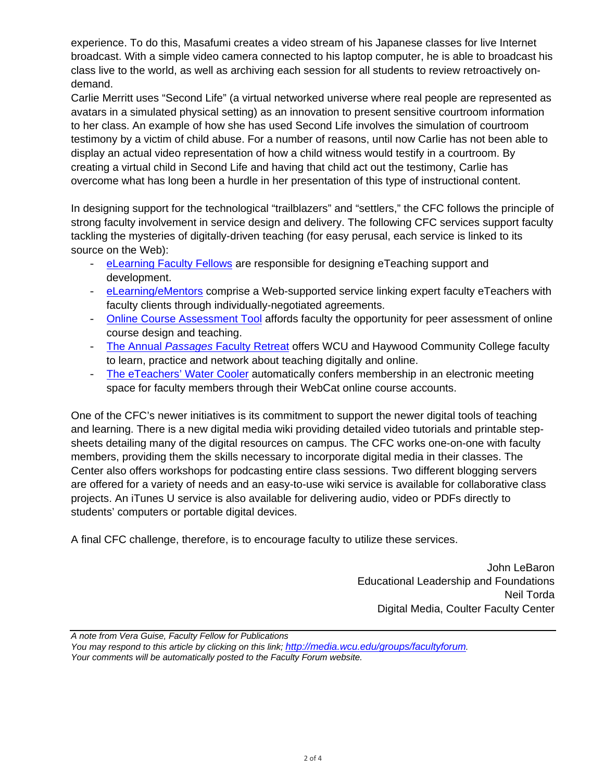experience. To do this, Masafumi creates a video stream of his Japanese classes for live Internet broadcast. With a simple video camera connected to his laptop computer, he is able to broadcast his class live to the world, as well as archiving each session for all students to review retroactively ondemand.

Carlie Merritt uses "Second Life" (a virtual networked universe where real people are represented as avatars in a simulated physical setting) as an innovation to present sensitive courtroom information to her class. An example of how she has used Second Life involves the simulation of courtroom testimony by a victim of child abuse. For a number of reasons, until now Carlie has not been able to display an actual video representation of how a child witness would testify in a courtroom. By creating a virtual child in Second Life and having that child act out the testimony, Carlie has overcome what has long been a hurdle in her presentation of this type of instructional content.

In designing support for the technological "trailblazers" and "settlers," the CFC follows the principle of strong faculty involvement in service design and delivery. The following CFC services support faculty tackling the mysteries of digitally-driven teaching (for easy perusal, each service is linked to its source on the Web):

- [eLearning Faculty Fellows](http://www.wcu.edu/7515.asp) are responsible for designing eTeaching support and development.
- [eLearning/eMentors](http://www.wcu.edu/7515.asp) comprise a Web-supported service linking expert faculty eTeachers with faculty clients through individually-negotiated agreements.
- [Online Course Assessment Tool](http://www.wcu.edu/WebFiles/PDFs/facultycenter_OCAT_v2.0_25apr07.pdf) affords faculty the opportunity for peer assessment of online course design and teaching.
- The Annual *Passages* [Faculty Retreat](http://wiki2.wcu.edu/groups/passages/) offers WCU and Haywood Community College faculty to learn, practice and network about teaching digitally and online.
- [The eTeachers' Water Cooler](http://www.wcu.edu/webcat/) automatically confers membership in an electronic meeting space for faculty members through their WebCat online course accounts.

One of the CFC's newer initiatives is its commitment to support the newer digital tools of teaching and learning. There is a new digital media wiki providing detailed video tutorials and printable stepsheets detailing many of the digital resources on campus. The CFC works one-on-one with faculty members, providing them the skills necessary to incorporate digital media in their classes. The Center also offers workshops for podcasting entire class sessions. Two different blogging servers are offered for a variety of needs and an easy-to-use wiki service is available for collaborative class projects. An iTunes U service is also available for delivering audio, video or PDFs directly to students' computers or portable digital devices.

A final CFC challenge, therefore, is to encourage faculty to utilize these services.

John LeBaron Educational Leadership and Foundations Neil Torda Digital Media, Coulter Faculty Center

*A note from Vera Guise, Faculty Fellow for Publications You may respond to this article by clicking on this link; [http://media.wcu.edu/groups/facultyforum.](http://media.wcu.edu/groups/facultyforum) Your comments will be automatically posted to the Faculty Forum website.*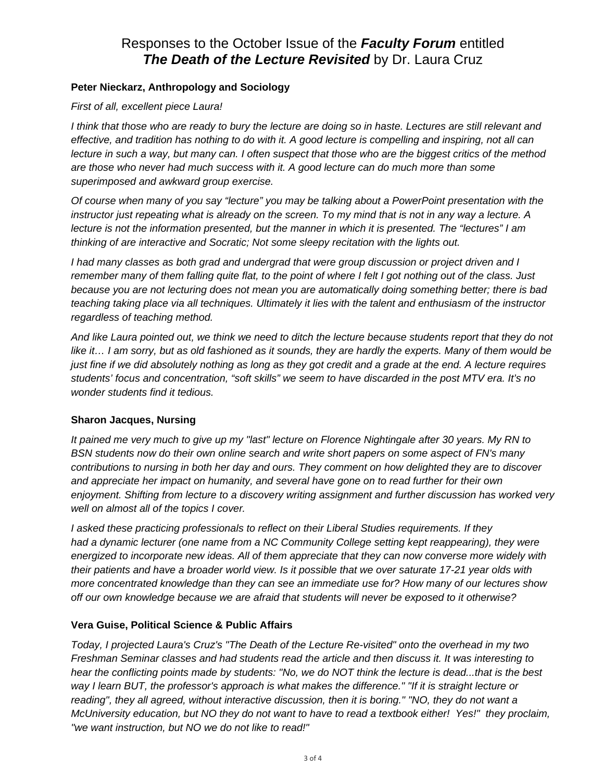### Responses to the October Issue of the *Faculty Forum* entitled *The Death of the Lecture Revisited* by Dr. Laura Cruz

### **Peter Nieckarz, Anthropology and Sociology**

### *First of all, excellent piece Laura!*

*I think that those who are ready to bury the lecture are doing so in haste. Lectures are still relevant and effective, and tradition has nothing to do with it. A good lecture is compelling and inspiring, not all can lecture in such a way, but many can. I often suspect that those who are the biggest critics of the method are those who never had much success with it. A good lecture can do much more than some superimposed and awkward group exercise.* 

*Of course when many of you say "lecture" you may be talking about a PowerPoint presentation with the instructor just repeating what is already on the screen. To my mind that is not in any way a lecture. A lecture is not the information presented, but the manner in which it is presented. The "lectures" I am thinking of are interactive and Socratic; Not some sleepy recitation with the lights out.* 

*I had many classes as both grad and undergrad that were group discussion or project driven and I remember many of them falling quite flat, to the point of where I felt I got nothing out of the class. Just because you are not lecturing does not mean you are automatically doing something better; there is bad teaching taking place via all techniques. Ultimately it lies with the talent and enthusiasm of the instructor regardless of teaching method.* 

*And like Laura pointed out, we think we need to ditch the lecture because students report that they do not like it… I am sorry, but as old fashioned as it sounds, they are hardly the experts. Many of them would be just fine if we did absolutely nothing as long as they got credit and a grade at the end. A lecture requires students' focus and concentration, "soft skills" we seem to have discarded in the post MTV era. It's no wonder students find it tedious.* 

### **Sharon Jacques, Nursing**

*It pained me very much to give up my "last" lecture on Florence Nightingale after 30 years. My RN to BSN students now do their own online search and write short papers on some aspect of FN's many contributions to nursing in both her day and ours. They comment on how delighted they are to discover and appreciate her impact on humanity, and several have gone on to read further for their own enjoyment. Shifting from lecture to a discovery writing assignment and further discussion has worked very well on almost all of the topics I cover.* 

*I asked these practicing professionals to reflect on their Liberal Studies requirements. If they had a dynamic lecturer (one name from a NC Community College setting kept reappearing), they were energized to incorporate new ideas. All of them appreciate that they can now converse more widely with their patients and have a broader world view. Is it possible that we over saturate 17-21 year olds with more concentrated knowledge than they can see an immediate use for? How many of our lectures show off our own knowledge because we are afraid that students will never be exposed to it otherwise?* 

### **Vera Guise, Political Science & Public Affairs**

*Today, I projected Laura's Cruz's "The Death of the Lecture Re-visited" onto the overhead in my two Freshman Seminar classes and had students read the article and then discuss it. It was interesting to hear the conflicting points made by students: "No, we do NOT think the lecture is dead...that is the best way I learn BUT, the professor's approach is what makes the difference." "If it is straight lecture or*  reading", they all agreed, without interactive discussion, then it is boring." "NO, they do not want a *McUniversity education, but NO they do not want to have to read a textbook either! Yes!" they proclaim, "we want instruction, but NO we do not like to read!"*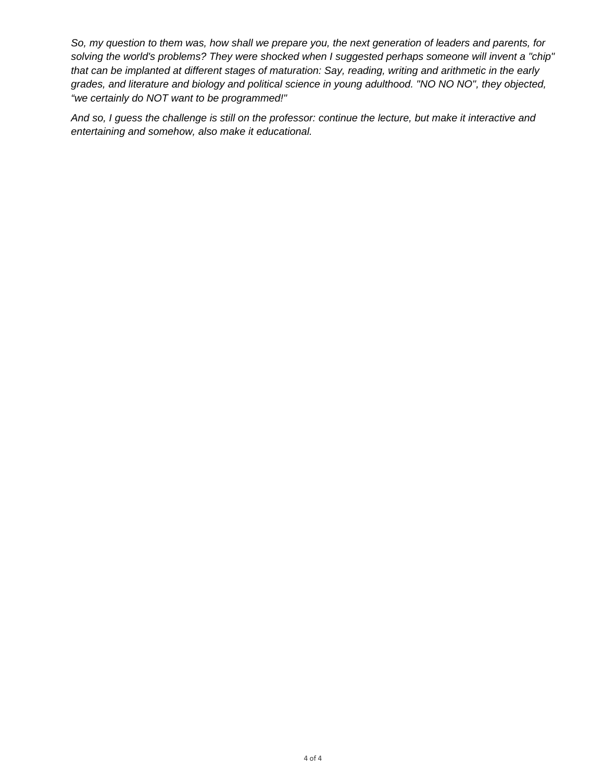*So, my question to them was, how shall we prepare you, the next generation of leaders and parents, for solving the world's problems? They were shocked when I suggested perhaps someone will invent a "chip" that can be implanted at different stages of maturation: Say, reading, writing and arithmetic in the early grades, and literature and biology and political science in young adulthood. "NO NO NO", they objected, "we certainly do NOT want to be programmed!"* 

*And so, I guess the challenge is still on the professor: continue the lecture, but make it interactive and entertaining and somehow, also make it educational.*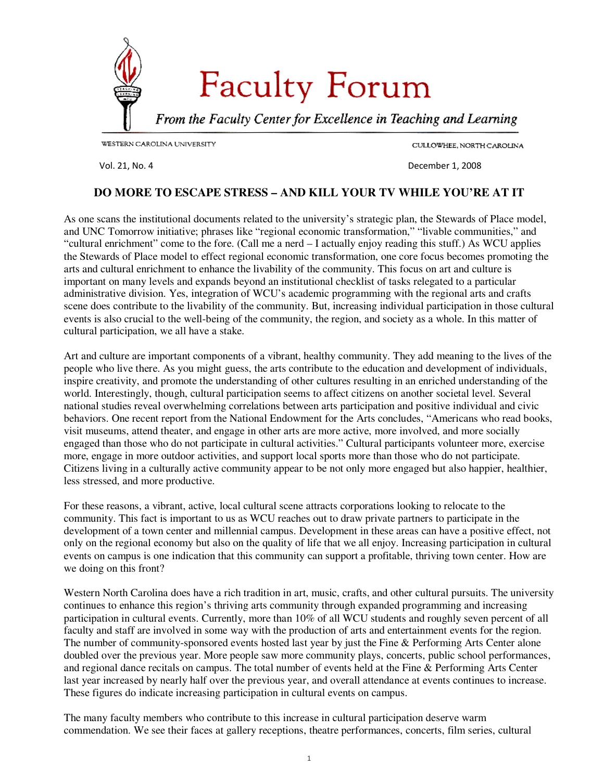<span id="page-11-0"></span>

CULLOWHEE, NORTH CAROLINA

Vol. 21, No. 4 December 1, 2008

### **DO MORE TO ESCAPE STRESS – AND KILL YOUR TV WHILE YOU'RE AT IT**

As one scans the institutional documents related to the university's strategic plan, the Stewards of Place model, and UNC Tomorrow initiative; phrases like "regional economic transformation," "livable communities," and "cultural enrichment" come to the fore. (Call me a nerd – I actually enjoy reading this stuff.) As WCU applies the Stewards of Place model to effect regional economic transformation, one core focus becomes promoting the arts and cultural enrichment to enhance the livability of the community. This focus on art and culture is important on many levels and expands beyond an institutional checklist of tasks relegated to a particular administrative division. Yes, integration of WCU's academic programming with the regional arts and crafts scene does contribute to the livability of the community. But, increasing individual participation in those cultural events is also crucial to the well-being of the community, the region, and society as a whole. In this matter of cultural participation, we all have a stake.

Art and culture are important components of a vibrant, healthy community. They add meaning to the lives of the people who live there. As you might guess, the arts contribute to the education and development of individuals, inspire creativity, and promote the understanding of other cultures resulting in an enriched understanding of the world. Interestingly, though, cultural participation seems to affect citizens on another societal level. Several national studies reveal overwhelming correlations between arts participation and positive individual and civic behaviors. One recent report from the National Endowment for the Arts concludes, "Americans who read books, visit museums, attend theater, and engage in other arts are more active, more involved, and more socially engaged than those who do not participate in cultural activities." Cultural participants volunteer more, exercise more, engage in more outdoor activities, and support local sports more than those who do not participate. Citizens living in a culturally active community appear to be not only more engaged but also happier, healthier, less stressed, and more productive.

For these reasons, a vibrant, active, local cultural scene attracts corporations looking to relocate to the community. This fact is important to us as WCU reaches out to draw private partners to participate in the development of a town center and millennial campus. Development in these areas can have a positive effect, not only on the regional economy but also on the quality of life that we all enjoy. Increasing participation in cultural events on campus is one indication that this community can support a profitable, thriving town center. How are we doing on this front?

Western North Carolina does have a rich tradition in art, music, crafts, and other cultural pursuits. The university continues to enhance this region's thriving arts community through expanded programming and increasing participation in cultural events. Currently, more than 10% of all WCU students and roughly seven percent of all faculty and staff are involved in some way with the production of arts and entertainment events for the region. The number of community-sponsored events hosted last year by just the Fine & Performing Arts Center alone doubled over the previous year. More people saw more community plays, concerts, public school performances, and regional dance recitals on campus. The total number of events held at the Fine & Performing Arts Center last year increased by nearly half over the previous year, and overall attendance at events continues to increase. These figures do indicate increasing participation in cultural events on campus.

The many faculty members who contribute to this increase in cultural participation deserve warm commendation. We see their faces at gallery receptions, theatre performances, concerts, film series, cultural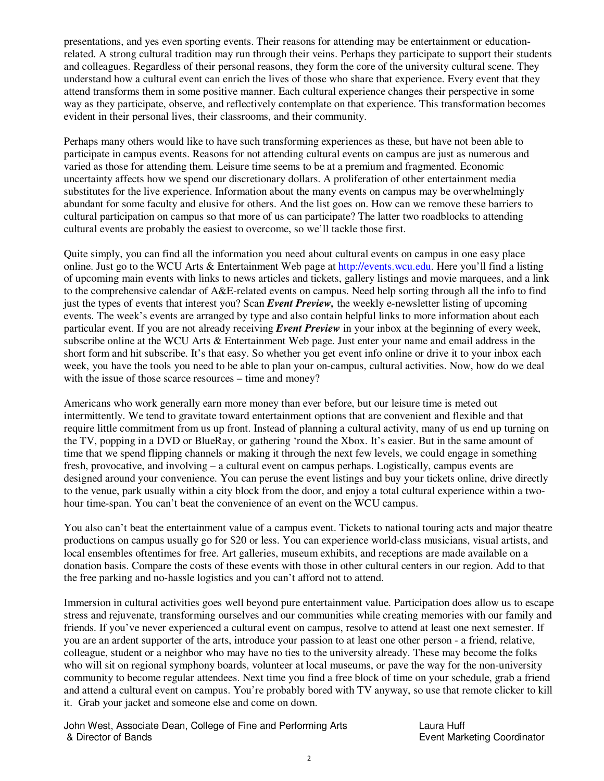presentations, and yes even sporting events. Their reasons for attending may be entertainment or educationrelated. A strong cultural tradition may run through their veins. Perhaps they participate to support their students and colleagues. Regardless of their personal reasons, they form the core of the university cultural scene. They understand how a cultural event can enrich the lives of those who share that experience. Every event that they attend transforms them in some positive manner. Each cultural experience changes their perspective in some way as they participate, observe, and reflectively contemplate on that experience. This transformation becomes evident in their personal lives, their classrooms, and their community.

Perhaps many others would like to have such transforming experiences as these, but have not been able to participate in campus events. Reasons for not attending cultural events on campus are just as numerous and varied as those for attending them. Leisure time seems to be at a premium and fragmented. Economic uncertainty affects how we spend our discretionary dollars. A proliferation of other entertainment media substitutes for the live experience. Information about the many events on campus may be overwhelmingly abundant for some faculty and elusive for others. And the list goes on. How can we remove these barriers to cultural participation on campus so that more of us can participate? The latter two roadblocks to attending cultural events are probably the easiest to overcome, so we'll tackle those first.

Quite simply, you can find all the information you need about cultural events on campus in one easy place online. Just go to the WCU Arts & Entertainment Web page at http://events.wcu.edu. Here you'll find a listing of upcoming main events with links to news articles and tickets, gallery listings and movie marquees, and a link to the comprehensive calendar of A&E-related events on campus. Need help sorting through all the info to find just the types of events that interest you? Scan *Event Preview,* the weekly e-newsletter listing of upcoming events. The week's events are arranged by type and also contain helpful links to more information about each particular event. If you are not already receiving *Event Preview* in your inbox at the beginning of every week, subscribe online at the WCU Arts & Entertainment Web page. Just enter your name and email address in the short form and hit subscribe. It's that easy. So whether you get event info online or drive it to your inbox each week, you have the tools you need to be able to plan your on-campus, cultural activities. Now, how do we deal with the issue of those scarce resources – time and money?

Americans who work generally earn more money than ever before, but our leisure time is meted out intermittently. We tend to gravitate toward entertainment options that are convenient and flexible and that require little commitment from us up front. Instead of planning a cultural activity, many of us end up turning on the TV, popping in a DVD or BlueRay, or gathering 'round the Xbox. It's easier. But in the same amount of time that we spend flipping channels or making it through the next few levels, we could engage in something fresh, provocative, and involving – a cultural event on campus perhaps. Logistically, campus events are designed around your convenience. You can peruse the event listings and buy your tickets online, drive directly to the venue, park usually within a city block from the door, and enjoy a total cultural experience within a twohour time-span. You can't beat the convenience of an event on the WCU campus.

You also can't beat the entertainment value of a campus event. Tickets to national touring acts and major theatre productions on campus usually go for \$20 or less. You can experience world-class musicians, visual artists, and local ensembles oftentimes for free. Art galleries, museum exhibits, and receptions are made available on a donation basis. Compare the costs of these events with those in other cultural centers in our region. Add to that the free parking and no-hassle logistics and you can't afford not to attend.

Immersion in cultural activities goes well beyond pure entertainment value. Participation does allow us to escape stress and rejuvenate, transforming ourselves and our communities while creating memories with our family and friends. If you've never experienced a cultural event on campus, resolve to attend at least one next semester. If you are an ardent supporter of the arts, introduce your passion to at least one other person - a friend, relative, colleague, student or a neighbor who may have no ties to the university already. These may become the folks who will sit on regional symphony boards, volunteer at local museums, or pave the way for the non-university community to become regular attendees. Next time you find a free block of time on your schedule, grab a friend and attend a cultural event on campus. You're probably bored with TV anyway, so use that remote clicker to kill it. Grab your jacket and someone else and come on down.

John West, Associate Dean, College of Fine and Performing Arts Laura Huff & Director of Bands Event Marketing Coordinator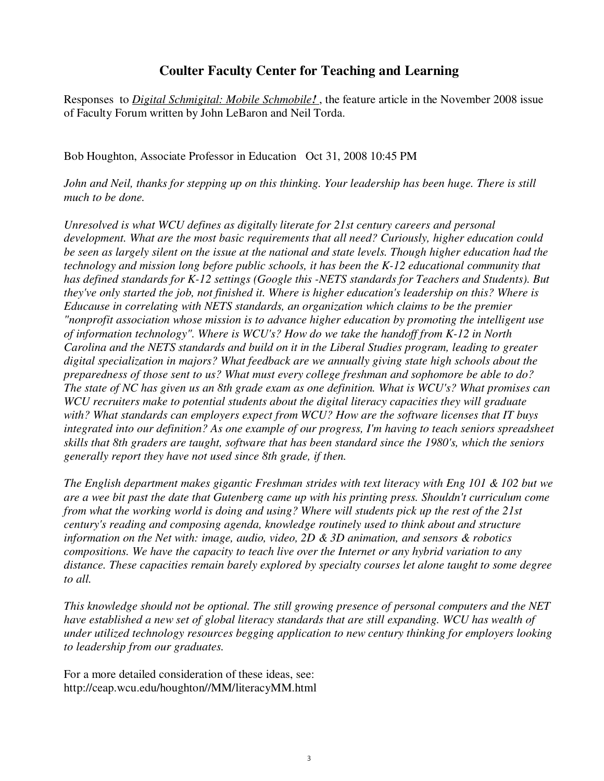### **Coulter Faculty Center for Teaching and Learning**

Responses to *Digital Schmigital: Mobile Schmobile!* , the feature article in the November 2008 issue of Faculty Forum written by John LeBaron and Neil Torda.

Bob Houghton, Associate Professor in Education Oct 31, 2008 10:45 PM

*John and Neil, thanks for stepping up on this thinking. Your leadership has been huge. There is still much to be done.* 

*Unresolved is what WCU defines as digitally literate for 21st century careers and personal development. What are the most basic requirements that all need? Curiously, higher education could be seen as largely silent on the issue at the national and state levels. Though higher education had the technology and mission long before public schools, it has been the K-12 educational community that has defined standards for K-12 settings (Google this -NETS standards for Teachers and Students). But they've only started the job, not finished it. Where is higher education's leadership on this? Where is Educause in correlating with NETS standards, an organization which claims to be the premier "nonprofit association whose mission is to advance higher education by promoting the intelligent use of information technology". Where is WCU's? How do we take the handoff from K-12 in North Carolina and the NETS standards and build on it in the Liberal Studies program, leading to greater digital specialization in majors? What feedback are we annually giving state high schools about the preparedness of those sent to us? What must every college freshman and sophomore be able to do? The state of NC has given us an 8th grade exam as one definition. What is WCU's? What promises can WCU recruiters make to potential students about the digital literacy capacities they will graduate with? What standards can employers expect from WCU? How are the software licenses that IT buys integrated into our definition? As one example of our progress, I'm having to teach seniors spreadsheet skills that 8th graders are taught, software that has been standard since the 1980's, which the seniors generally report they have not used since 8th grade, if then.* 

*The English department makes gigantic Freshman strides with text literacy with Eng 101 & 102 but we are a wee bit past the date that Gutenberg came up with his printing press. Shouldn't curriculum come from what the working world is doing and using? Where will students pick up the rest of the 21st century's reading and composing agenda, knowledge routinely used to think about and structure information on the Net with: image, audio, video, 2D & 3D animation, and sensors & robotics compositions. We have the capacity to teach live over the Internet or any hybrid variation to any distance. These capacities remain barely explored by specialty courses let alone taught to some degree to all.* 

*This knowledge should not be optional. The still growing presence of personal computers and the NET*  have established a new set of global literacy standards that are still expanding. WCU has wealth of *under utilized technology resources begging application to new century thinking for employers looking to leadership from our graduates.* 

For a more detailed consideration of these ideas, see: http://ceap.wcu.edu/houghton//MM/literacyMM.html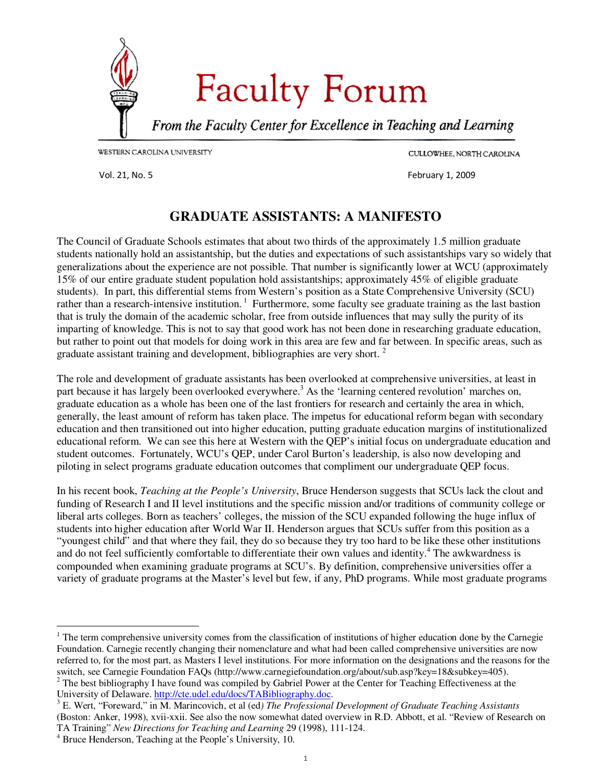<span id="page-14-0"></span>

CULLOWHEE, NORTH CAROLINA

Vol. 21, No. 5 February 1, 2009

### **GRADUATE ASSISTANTS: A MANIFESTO**

The Council of Graduate Schools estimates that about two thirds of the approximately 1.5 million graduate students nationally hold an assistantship, but the duties and expectations of such assistantships vary so widely that generalizations about the experience are not possible. That number is significantly lower at WCU (approximately 15% of our entire graduate student population hold assistantships; approximately 45% of eligible graduate students). In part, this differential stems from Western's position as a State Comprehensive University (SCU) rather than a research-intensive institution.<sup>1</sup> Furthermore, some faculty see graduate training as the last bastion that is truly the domain of the academic scholar, free from outside influences that may sully the purity of its imparting of knowledge. This is not to say that good work has not been done in researching graduate education, but rather to point out that models for doing work in this area are few and far between. In specific areas, such as graduate assistant training and development, bibliographies are very short.  $2^2$ 

The role and development of graduate assistants has been overlooked at comprehensive universities, at least in part because it has largely been overlooked everywhere.<sup>3</sup> As the 'learning centered revolution' marches on, graduate education as a whole has been one of the last frontiers for research and certainly the area in which, generally, the least amount of reform has taken place. The impetus for educational reform began with secondary education and then transitioned out into higher education, putting graduate education margins of institutionalized educational reform. We can see this here at Western with the QEP's initial focus on undergraduate education and student outcomes. Fortunately, WCU's QEP, under Carol Burton's leadership, is also now developing and piloting in select programs graduate education outcomes that compliment our undergraduate QEP focus.

In his recent book, *Teaching at the People's University*, Bruce Henderson suggests that SCUs lack the clout and funding of Research I and II level institutions and the specific mission and/or traditions of community college or liberal arts colleges. Born as teachers' colleges, the mission of the SCU expanded following the huge influx of students into higher education after World War II. Henderson argues that SCUs suffer from this position as a "youngest child" and that where they fail, they do so because they try too hard to be like these other institutions and do not feel sufficiently comfortable to differentiate their own values and identity.<sup>4</sup> The awkwardness is compounded when examining graduate programs at SCU's. By definition, comprehensive universities offer a variety of graduate programs at the Master's level but few, if any, PhD programs. While most graduate programs

-

<sup>&</sup>lt;sup>1</sup> The term comprehensive university comes from the classification of institutions of higher education done by the Carnegie Foundation. Carnegie recently changing their nomenclature and what had been called comprehensive universities are now referred to, for the most part, as Masters I level institutions. For more information on the designations and the reasons for the switch, see Carnegie Foundation FAQs (http://www.carnegiefoundation.org/about/sub.asp?key=18&subkey=405).<br><sup>2</sup> The best bibliography I have found was compiled by Gabriel Power at the Center for Teaching Effectiveness at the

University of Delaware. http://cte.udel.edu/docs/TABibliography.doc.

<sup>3</sup> E. Wert, "Foreward," in M. Marincovich, et al (ed*) The Professional Development of Graduate Teaching Assistants* (Boston: Anker, 1998), xvii-xxii. See also the now somewhat dated overview in R.D. Abbott, et al. "Review of Research on TA Training" *New Directions for Teaching and Learning* 29 (1998), 111-124.

<sup>4</sup> Bruce Henderson, Teaching at the People's University, 10.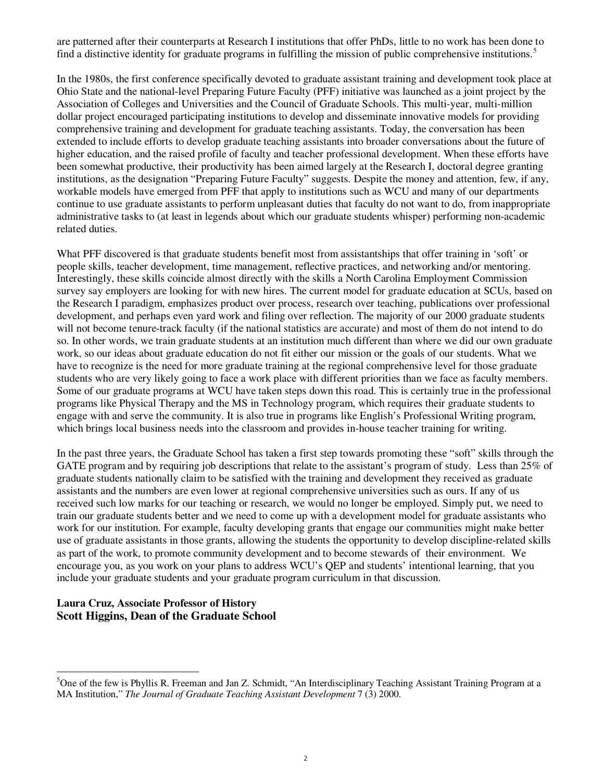are patterned after their counterparts at Research I institutions that offer PhDs, little to no work has been done to find a distinctive identity for graduate programs in fulfilling the mission of public comprehensive institutions.<sup>5</sup>

In the 1980s, the first conference specifically devoted to graduate assistant training and development took place at Ohio State and the national-level Preparing Future Faculty (PFF) initiative was launched as a joint project by the Association of Colleges and Universities and the Council of Graduate Schools. This multi-year, multi-million dollar project encouraged participating institutions to develop and disseminate innovative models for providing comprehensive training and development for graduate teaching assistants. Today, the conversation has been extended to include efforts to develop graduate teaching assistants into broader conversations about the future of higher education, and the raised profile of faculty and teacher professional development. When these efforts have been somewhat productive, their productivity has been aimed largely at the Research I, doctoral degree granting institutions, as the designation "Preparing Future Faculty" suggests. Despite the money and attention, few, if any, workable models have emerged from PFF that apply to institutions such as WCU and many of our departments continue to use graduate assistants to perform unpleasant duties that faculty do not want to do, from inappropriate administrative tasks to (at least in legends about which our graduate students whisper) performing non-academic related duties.

What PFF discovered is that graduate students benefit most from assistantships that offer training in 'soft' or people skills, teacher development, time management, reflective practices, and networking and/or mentoring. Interestingly, these skills coincide almost directly with the skills a North Carolina Employment Commission survey say employers are looking for with new hires. The current model for graduate education at SCUs, based on the Research I paradigm, emphasizes product over process, research over teaching, publications over professional development, and perhaps even yard work and filing over reflection. The majority of our 2000 graduate students will not become tenure-track faculty (if the national statistics are accurate) and most of them do not intend to do so. In other words, we train graduate students at an institution much different than where we did our own graduate work, so our ideas about graduate education do not fit either our mission or the goals of our students. What we have to recognize is the need for more graduate training at the regional comprehensive level for those graduate students who are very likely going to face a work place with different priorities than we face as faculty members. Some of our graduate programs at WCU have taken steps down this road. This is certainly true in the professional programs like Physical Therapy and the MS in Technology program, which requires their graduate students to engage with and serve the community. It is also true in programs like English's Professional Writing program, which brings local business needs into the classroom and provides in-house teacher training for writing.

In the past three years, the Graduate School has taken a first step towards promoting these "soft" skills through the GATE program and by requiring job descriptions that relate to the assistant's program of study. Less than 25% of graduate students nationally claim to be satisfied with the training and development they received as graduate assistants and the numbers are even lower at regional comprehensive universities such as ours. If any of us received such low marks for our teaching or research, we would no longer be employed. Simply put, we need to train our graduate students better and we need to come up with a development model for graduate assistants who work for our institution. For example, faculty developing grants that engage our communities might make better use of graduate assistants in those grants, allowing the students the opportunity to develop discipline-related skills as part of the work, to promote community development and to become stewards of their environment. We encourage you, as you work on your plans to address WCU's QEP and students' intentional learning, that you include your graduate students and your graduate program curriculum in that discussion.

### **Laura Cruz, Associate Professor of History Scott Higgins, Dean of the Graduate School**

-

<sup>&</sup>lt;sup>5</sup>One of the few is Phyllis R. Freeman and Jan Z. Schmidt, "An Interdisciplinary Teaching Assistant Training Program at a MA Institution," *The Journal of Graduate Teaching Assistant Development* 7 (3) 2000.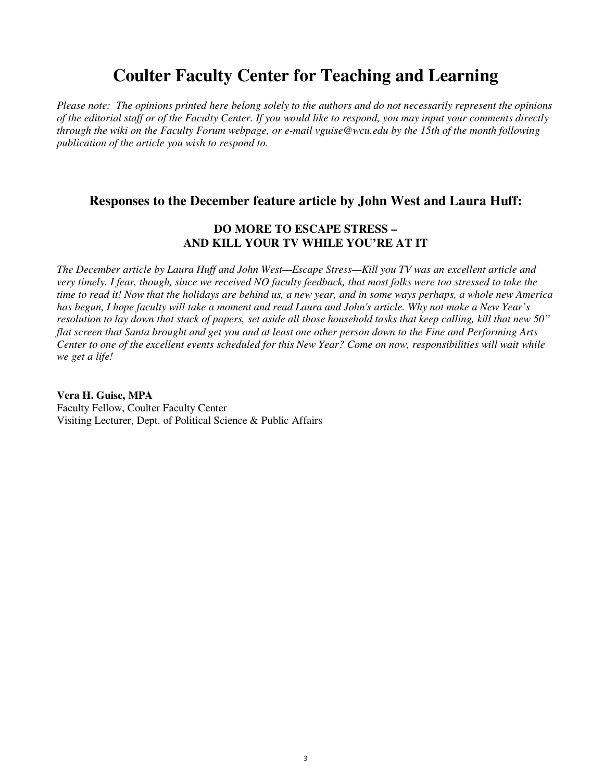# **Coulter Faculty Center for Teaching and Learning**

*Please note: The opinions printed here belong solely to the authors and do not necessarily represent the opinions of the editorial staff or of the Faculty Center. If you would like to respond, you may input your comments directly through the wiki on the Faculty Forum webpage, or e-mail vguise@wcu.edu by the 15th of the month following publication of the article you wish to respond to.*

### **Responses to the December feature article by John West and Laura Huff:**

### **DO MORE TO ESCAPE STRESS – AND KILL YOUR TV WHILE YOU'RE AT IT**

*The December article by Laura Huff and John West—Escape Stress—Kill you TV was an excellent article and very timely. I fear, though, since we received NO faculty feedback, that most folks were too stressed to take the time to read it! Now that the holidays are behind us, a new year, and in some ways perhaps, a whole new America has begun, I hope faculty will take a moment and read Laura and John's article. Why not make a New Year's resolution to lay down that stack of papers, set aside all those household tasks that keep calling, kill that new 50" flat screen that Santa brought and get you and at least one other person down to the Fine and Performing Arts Center to one of the excellent events scheduled for this New Year? Come on now, responsibilities will wait while we get a life!* 

**Vera H. Guise, MPA**  Faculty Fellow, Coulter Faculty Center Visiting Lecturer, Dept. of Political Science & Public Affairs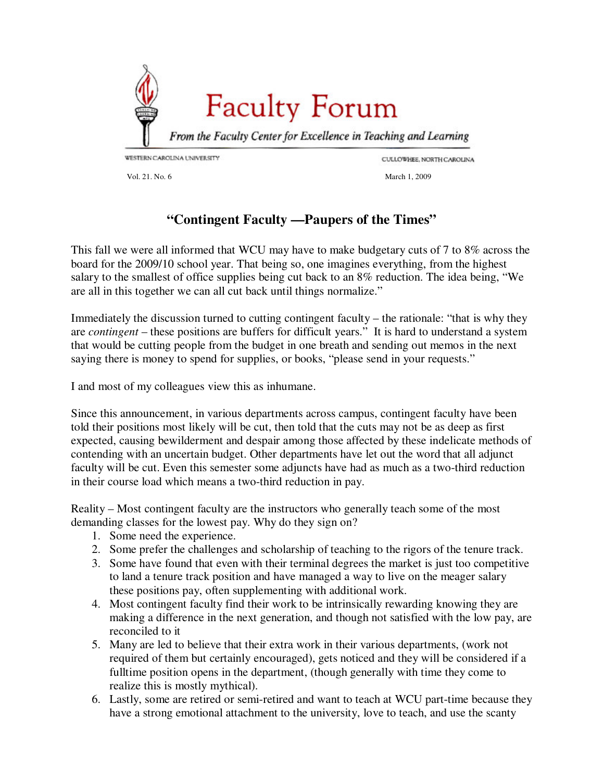<span id="page-17-0"></span>

CULLOWHEE, NORTH CAROLINA

Vol. 21. No. 6 March 1, 2009

### **"Contingent Faculty —Paupers of the Times"**

This fall we were all informed that WCU may have to make budgetary cuts of 7 to 8% across the board for the 2009/10 school year. That being so, one imagines everything, from the highest salary to the smallest of office supplies being cut back to an 8% reduction. The idea being, "We are all in this together we can all cut back until things normalize."

Immediately the discussion turned to cutting contingent faculty – the rationale: "that is why they are *contingent* – these positions are buffers for difficult years." It is hard to understand a system that would be cutting people from the budget in one breath and sending out memos in the next saying there is money to spend for supplies, or books, "please send in your requests."

I and most of my colleagues view this as inhumane.

Since this announcement, in various departments across campus, contingent faculty have been told their positions most likely will be cut, then told that the cuts may not be as deep as first expected, causing bewilderment and despair among those affected by these indelicate methods of contending with an uncertain budget. Other departments have let out the word that all adjunct faculty will be cut. Even this semester some adjuncts have had as much as a two-third reduction in their course load which means a two-third reduction in pay.

Reality – Most contingent faculty are the instructors who generally teach some of the most demanding classes for the lowest pay. Why do they sign on?

- 1. Some need the experience.
- 2. Some prefer the challenges and scholarship of teaching to the rigors of the tenure track.
- 3. Some have found that even with their terminal degrees the market is just too competitive to land a tenure track position and have managed a way to live on the meager salary these positions pay, often supplementing with additional work.
- 4. Most contingent faculty find their work to be intrinsically rewarding knowing they are making a difference in the next generation, and though not satisfied with the low pay, are reconciled to it
- 5. Many are led to believe that their extra work in their various departments, (work not required of them but certainly encouraged), gets noticed and they will be considered if a fulltime position opens in the department, (though generally with time they come to realize this is mostly mythical).
- 6. Lastly, some are retired or semi-retired and want to teach at WCU part-time because they have a strong emotional attachment to the university, love to teach, and use the scanty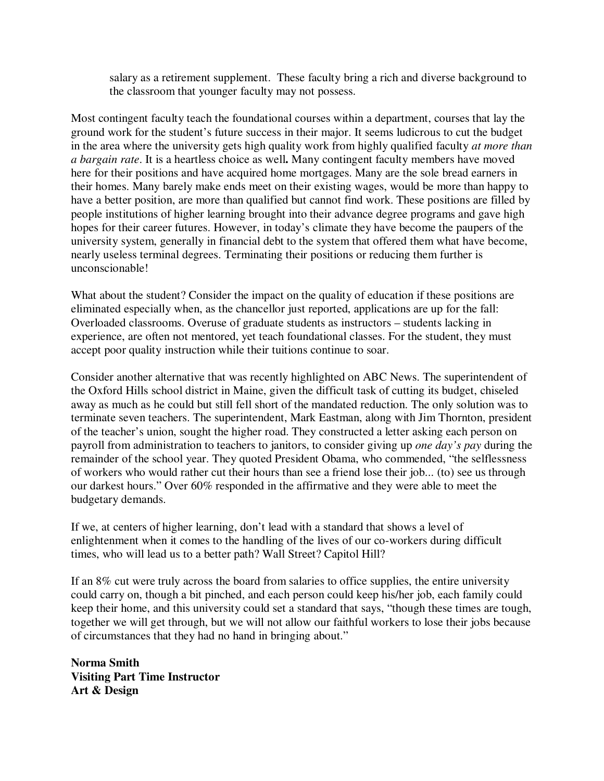salary as a retirement supplement. These faculty bring a rich and diverse background to the classroom that younger faculty may not possess.

Most contingent faculty teach the foundational courses within a department, courses that lay the ground work for the student's future success in their major. It seems ludicrous to cut the budget in the area where the university gets high quality work from highly qualified faculty *at more than a bargain rate*. It is a heartless choice as well**.** Many contingent faculty members have moved here for their positions and have acquired home mortgages. Many are the sole bread earners in their homes. Many barely make ends meet on their existing wages, would be more than happy to have a better position, are more than qualified but cannot find work. These positions are filled by people institutions of higher learning brought into their advance degree programs and gave high hopes for their career futures. However, in today's climate they have become the paupers of the university system, generally in financial debt to the system that offered them what have become, nearly useless terminal degrees. Terminating their positions or reducing them further is unconscionable!

What about the student? Consider the impact on the quality of education if these positions are eliminated especially when, as the chancellor just reported, applications are up for the fall: Overloaded classrooms. Overuse of graduate students as instructors – students lacking in experience, are often not mentored, yet teach foundational classes. For the student, they must accept poor quality instruction while their tuitions continue to soar.

Consider another alternative that was recently highlighted on ABC News. The superintendent of the Oxford Hills school district in Maine, given the difficult task of cutting its budget, chiseled away as much as he could but still fell short of the mandated reduction. The only solution was to terminate seven teachers. The superintendent, Mark Eastman, along with Jim Thornton, president of the teacher's union, sought the higher road. They constructed a letter asking each person on payroll from administration to teachers to janitors, to consider giving up *one day's pay* during the remainder of the school year. They quoted President Obama, who commended, "the selflessness of workers who would rather cut their hours than see a friend lose their job... (to) see us through our darkest hours." Over 60% responded in the affirmative and they were able to meet the budgetary demands.

If we, at centers of higher learning, don't lead with a standard that shows a level of enlightenment when it comes to the handling of the lives of our co-workers during difficult times, who will lead us to a better path? Wall Street? Capitol Hill?

If an 8% cut were truly across the board from salaries to office supplies, the entire university could carry on, though a bit pinched, and each person could keep his/her job, each family could keep their home, and this university could set a standard that says, "though these times are tough, together we will get through, but we will not allow our faithful workers to lose their jobs because of circumstances that they had no hand in bringing about."

**Norma Smith Visiting Part Time Instructor Art & Design**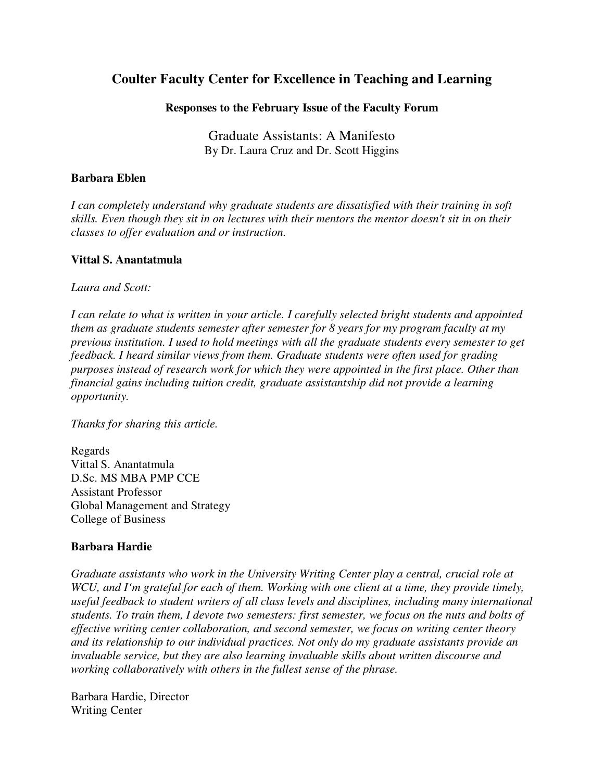### **Coulter Faculty Center for Excellence in Teaching and Learning**

### **Responses to the February Issue of the Faculty Forum**

Graduate Assistants: A Manifesto By Dr. Laura Cruz and Dr. Scott Higgins

### **Barbara Eblen**

*I can completely understand why graduate students are dissatisfied with their training in soft skills. Even though they sit in on lectures with their mentors the mentor doesn't sit in on their classes to offer evaluation and or instruction.* 

### **Vittal S. Anantatmula**

*Laura and Scott:* 

*I can relate to what is written in your article. I carefully selected bright students and appointed them as graduate students semester after semester for 8 years for my program faculty at my previous institution. I used to hold meetings with all the graduate students every semester to get feedback. I heard similar views from them. Graduate students were often used for grading purposes instead of research work for which they were appointed in the first place. Other than financial gains including tuition credit, graduate assistantship did not provide a learning opportunity.* 

*Thanks for sharing this article.* 

Regards Vittal S. Anantatmula D.Sc. MS MBA PMP CCE Assistant Professor Global Management and Strategy College of Business

### **Barbara Hardie**

*Graduate assistants who work in the University Writing Center play a central, crucial role at WCU, and I'm grateful for each of them. Working with one client at a time, they provide timely, useful feedback to student writers of all class levels and disciplines, including many international students. To train them, I devote two semesters: first semester, we focus on the nuts and bolts of effective writing center collaboration, and second semester, we focus on writing center theory and its relationship to our individual practices. Not only do my graduate assistants provide an invaluable service, but they are also learning invaluable skills about written discourse and working collaboratively with others in the fullest sense of the phrase.* 

Barbara Hardie, Director Writing Center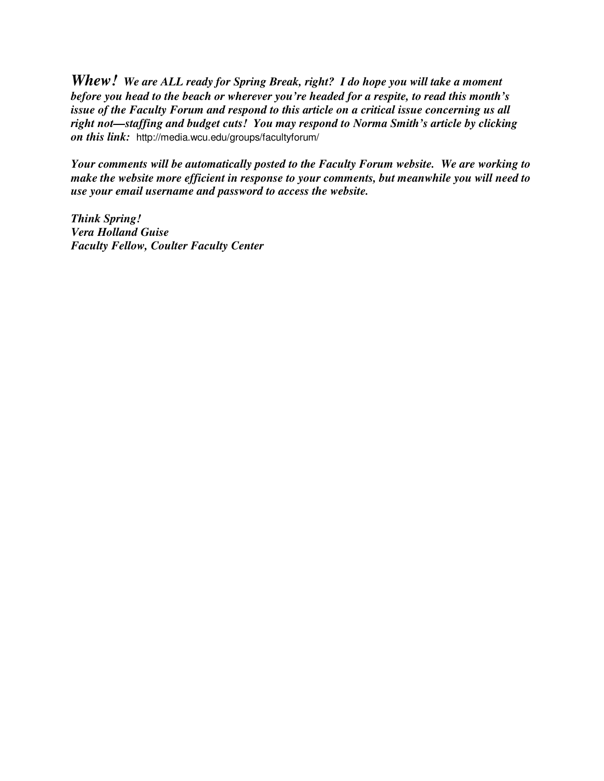*Whew! We are ALL ready for Spring Break, right? I do hope you will take a moment before you head to the beach or wherever you're headed for a respite, to read this month's issue of the Faculty Forum and respond to this article on a critical issue concerning us all right not—staffing and budget cuts! You may respond to Norma Smith's article by clicking on this link:* http://media.wcu.edu/groups/facultyforum/

*Your comments will be automatically posted to the Faculty Forum website. We are working to make the website more efficient in response to your comments, but meanwhile you will need to use your email username and password to access the website.* 

*Think Spring! Vera Holland Guise Faculty Fellow, Coulter Faculty Center*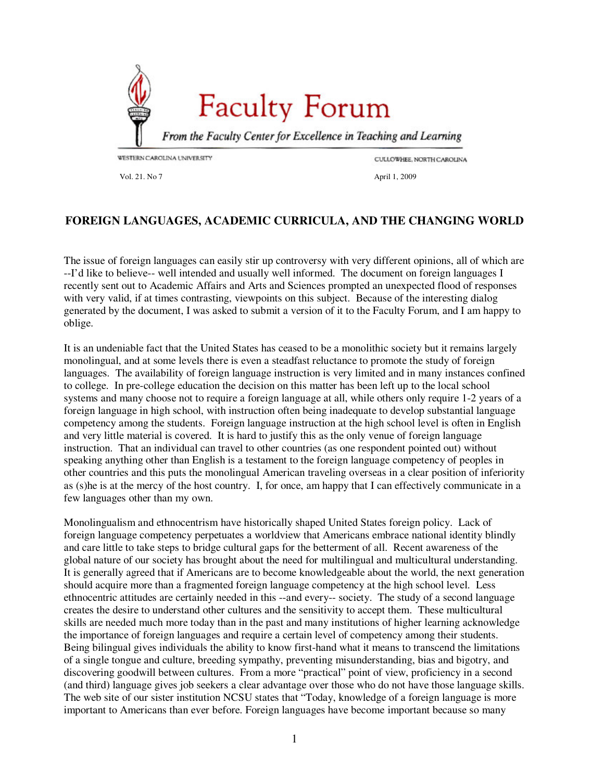<span id="page-21-0"></span>

CULLOWHEE, NORTH CAROLINA

Vol. 21. No 7 **April 1, 2009** 

### **FOREIGN LANGUAGES, ACADEMIC CURRICULA, AND THE CHANGING WORLD**

The issue of foreign languages can easily stir up controversy with very different opinions, all of which are --I'd like to believe-- well intended and usually well informed. The document on foreign languages I recently sent out to Academic Affairs and Arts and Sciences prompted an unexpected flood of responses with very valid, if at times contrasting, viewpoints on this subject. Because of the interesting dialog generated by the document, I was asked to submit a version of it to the Faculty Forum, and I am happy to oblige.

It is an undeniable fact that the United States has ceased to be a monolithic society but it remains largely monolingual, and at some levels there is even a steadfast reluctance to promote the study of foreign languages. The availability of foreign language instruction is very limited and in many instances confined to college. In pre-college education the decision on this matter has been left up to the local school systems and many choose not to require a foreign language at all, while others only require 1-2 years of a foreign language in high school, with instruction often being inadequate to develop substantial language competency among the students. Foreign language instruction at the high school level is often in English and very little material is covered. It is hard to justify this as the only venue of foreign language instruction. That an individual can travel to other countries (as one respondent pointed out) without speaking anything other than English is a testament to the foreign language competency of peoples in other countries and this puts the monolingual American traveling overseas in a clear position of inferiority as (s)he is at the mercy of the host country. I, for once, am happy that I can effectively communicate in a few languages other than my own.

Monolingualism and ethnocentrism have historically shaped United States foreign policy. Lack of foreign language competency perpetuates a worldview that Americans embrace national identity blindly and care little to take steps to bridge cultural gaps for the betterment of all. Recent awareness of the global nature of our society has brought about the need for multilingual and multicultural understanding. It is generally agreed that if Americans are to become knowledgeable about the world, the next generation should acquire more than a fragmented foreign language competency at the high school level. Less ethnocentric attitudes are certainly needed in this --and every-- society. The study of a second language creates the desire to understand other cultures and the sensitivity to accept them. These multicultural skills are needed much more today than in the past and many institutions of higher learning acknowledge the importance of foreign languages and require a certain level of competency among their students. Being bilingual gives individuals the ability to know first-hand what it means to transcend the limitations of a single tongue and culture, breeding sympathy, preventing misunderstanding, bias and bigotry, and discovering goodwill between cultures. From a more "practical" point of view, proficiency in a second (and third) language gives job seekers a clear advantage over those who do not have those language skills. The web site of our sister institution NCSU states that "Today, knowledge of a foreign language is more important to Americans than ever before. Foreign languages have become important because so many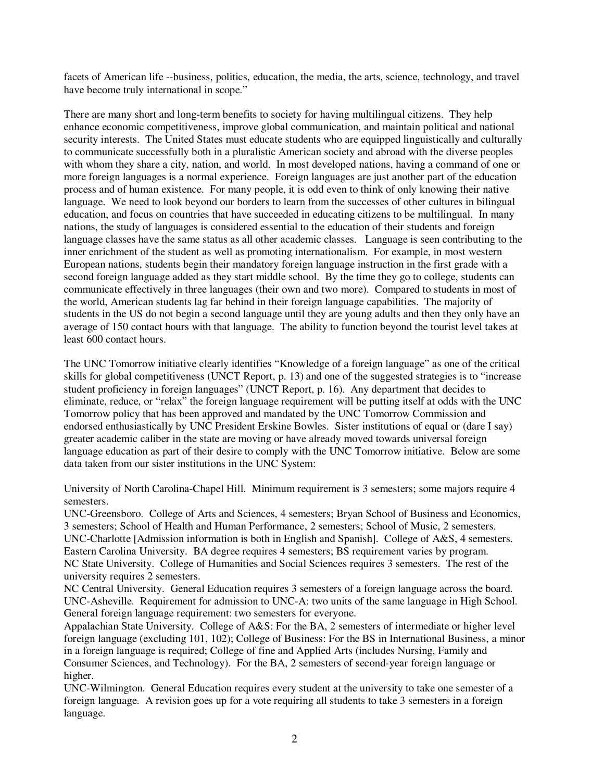facets of American life --business, politics, education, the media, the arts, science, technology, and travel have become truly international in scope."

There are many short and long-term benefits to society for having multilingual citizens. They help enhance economic competitiveness, improve global communication, and maintain political and national security interests. The United States must educate students who are equipped linguistically and culturally to communicate successfully both in a pluralistic American society and abroad with the diverse peoples with whom they share a city, nation, and world. In most developed nations, having a command of one or more foreign languages is a normal experience. Foreign languages are just another part of the education process and of human existence. For many people, it is odd even to think of only knowing their native language. We need to look beyond our borders to learn from the successes of other cultures in bilingual education, and focus on countries that have succeeded in educating citizens to be multilingual. In many nations, the study of languages is considered essential to the education of their students and foreign language classes have the same status as all other academic classes. Language is seen contributing to the inner enrichment of the student as well as promoting internationalism. For example, in most western European nations, students begin their mandatory foreign language instruction in the first grade with a second foreign language added as they start middle school. By the time they go to college, students can communicate effectively in three languages (their own and two more). Compared to students in most of the world, American students lag far behind in their foreign language capabilities. The majority of students in the US do not begin a second language until they are young adults and then they only have an average of 150 contact hours with that language. The ability to function beyond the tourist level takes at least 600 contact hours.

The UNC Tomorrow initiative clearly identifies "Knowledge of a foreign language" as one of the critical skills for global competitiveness (UNCT Report, p. 13) and one of the suggested strategies is to "increase student proficiency in foreign languages" (UNCT Report, p. 16). Any department that decides to eliminate, reduce, or "relax" the foreign language requirement will be putting itself at odds with the UNC Tomorrow policy that has been approved and mandated by the UNC Tomorrow Commission and endorsed enthusiastically by UNC President Erskine Bowles. Sister institutions of equal or (dare I say) greater academic caliber in the state are moving or have already moved towards universal foreign language education as part of their desire to comply with the UNC Tomorrow initiative. Below are some data taken from our sister institutions in the UNC System:

University of North Carolina-Chapel Hill. Minimum requirement is 3 semesters; some majors require 4 semesters.

UNC-Greensboro. College of Arts and Sciences, 4 semesters; Bryan School of Business and Economics, 3 semesters; School of Health and Human Performance, 2 semesters; School of Music, 2 semesters. UNC-Charlotte [Admission information is both in English and Spanish]. College of A&S, 4 semesters. Eastern Carolina University. BA degree requires 4 semesters; BS requirement varies by program. NC State University. College of Humanities and Social Sciences requires 3 semesters. The rest of the university requires 2 semesters.

NC Central University. General Education requires 3 semesters of a foreign language across the board. UNC-Asheville. Requirement for admission to UNC-A: two units of the same language in High School. General foreign language requirement: two semesters for everyone.

Appalachian State University. College of A&S: For the BA, 2 semesters of intermediate or higher level foreign language (excluding 101, 102); College of Business: For the BS in International Business, a minor in a foreign language is required; College of fine and Applied Arts (includes Nursing, Family and Consumer Sciences, and Technology). For the BA, 2 semesters of second-year foreign language or higher.

UNC-Wilmington. General Education requires every student at the university to take one semester of a foreign language. A revision goes up for a vote requiring all students to take 3 semesters in a foreign language.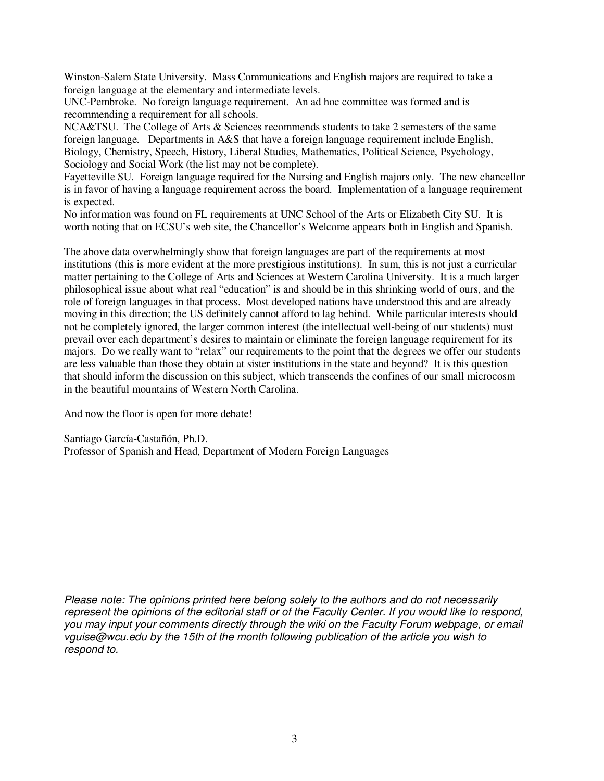Winston-Salem State University. Mass Communications and English majors are required to take a foreign language at the elementary and intermediate levels.

UNC-Pembroke. No foreign language requirement. An ad hoc committee was formed and is recommending a requirement for all schools.

NCA&TSU. The College of Arts & Sciences recommends students to take 2 semesters of the same foreign language. Departments in A&S that have a foreign language requirement include English, Biology, Chemistry, Speech, History, Liberal Studies, Mathematics, Political Science, Psychology, Sociology and Social Work (the list may not be complete).

Fayetteville SU. Foreign language required for the Nursing and English majors only. The new chancellor is in favor of having a language requirement across the board. Implementation of a language requirement is expected.

No information was found on FL requirements at UNC School of the Arts or Elizabeth City SU. It is worth noting that on ECSU's web site, the Chancellor's Welcome appears both in English and Spanish.

The above data overwhelmingly show that foreign languages are part of the requirements at most institutions (this is more evident at the more prestigious institutions). In sum, this is not just a curricular matter pertaining to the College of Arts and Sciences at Western Carolina University. It is a much larger philosophical issue about what real "education" is and should be in this shrinking world of ours, and the role of foreign languages in that process. Most developed nations have understood this and are already moving in this direction; the US definitely cannot afford to lag behind. While particular interests should not be completely ignored, the larger common interest (the intellectual well-being of our students) must prevail over each department's desires to maintain or eliminate the foreign language requirement for its majors. Do we really want to "relax" our requirements to the point that the degrees we offer our students are less valuable than those they obtain at sister institutions in the state and beyond? It is this question that should inform the discussion on this subject, which transcends the confines of our small microcosm in the beautiful mountains of Western North Carolina.

And now the floor is open for more debate!

Santiago García-Castañón, Ph.D. Professor of Spanish and Head, Department of Modern Foreign Languages

Please note: The opinions printed here belong solely to the authors and do not necessarily represent the opinions of the editorial staff or of the Faculty Center. If you would like to respond, you may input your comments directly through the wiki on the Faculty Forum webpage, or email vguise@wcu.edu by the 15th of the month following publication of the article you wish to respond to.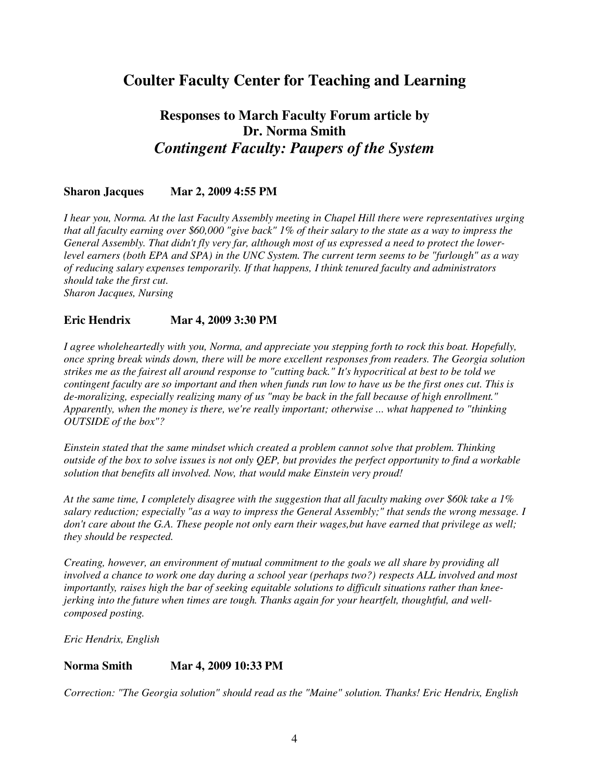### **Coulter Faculty Center for Teaching and Learning**

### **Responses to March Faculty Forum article by Dr. Norma Smith**  *Contingent Faculty: Paupers of the System*

### **Sharon Jacques Mar 2, 2009 4:55 PM**

*I hear you, Norma. At the last Faculty Assembly meeting in Chapel Hill there were representatives urging that all faculty earning over \$60,000 "give back" 1% of their salary to the state as a way to impress the General Assembly. That didn't fly very far, although most of us expressed a need to protect the lowerlevel earners (both EPA and SPA) in the UNC System. The current term seems to be "furlough" as a way of reducing salary expenses temporarily. If that happens, I think tenured faculty and administrators should take the first cut. Sharon Jacques, Nursing* 

### **Eric Hendrix Mar 4, 2009 3:30 PM**

*I agree wholeheartedly with you, Norma, and appreciate you stepping forth to rock this boat. Hopefully, once spring break winds down, there will be more excellent responses from readers. The Georgia solution strikes me as the fairest all around response to "cutting back." It's hypocritical at best to be told we contingent faculty are so important and then when funds run low to have us be the first ones cut. This is de-moralizing, especially realizing many of us "may be back in the fall because of high enrollment." Apparently, when the money is there, we're really important; otherwise ... what happened to "thinking OUTSIDE of the box"?* 

*Einstein stated that the same mindset which created a problem cannot solve that problem. Thinking outside of the box to solve issues is not only QEP, but provides the perfect opportunity to find a workable solution that benefits all involved. Now, that would make Einstein very proud!* 

*At the same time, I completely disagree with the suggestion that all faculty making over \$60k take a 1% salary reduction; especially "as a way to impress the General Assembly;" that sends the wrong message. I don't care about the G.A. These people not only earn their wages,but have earned that privilege as well; they should be respected.* 

*Creating, however, an environment of mutual commitment to the goals we all share by providing all involved a chance to work one day during a school year (perhaps two?) respects ALL involved and most importantly, raises high the bar of seeking equitable solutions to difficult situations rather than kneejerking into the future when times are tough. Thanks again for your heartfelt, thoughtful, and wellcomposed posting.* 

*Eric Hendrix, English* 

### **Norma Smith Mar 4, 2009 10:33 PM**

*Correction: "The Georgia solution" should read as the "Maine" solution. Thanks! Eric Hendrix, English*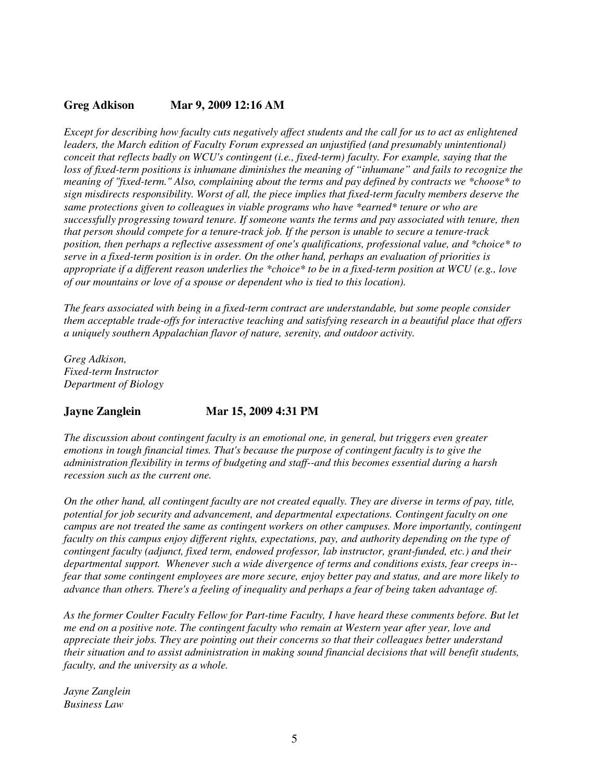### **Greg Adkison Mar 9, 2009 12:16 AM**

*Except for describing how faculty cuts negatively affect students and the call for us to act as enlightened leaders, the March edition of Faculty Forum expressed an unjustified (and presumably unintentional) conceit that reflects badly on WCU's contingent (i.e., fixed-term) faculty. For example, saying that the loss of fixed-term positions is inhumane diminishes the meaning of "inhumane" and fails to recognize the meaning of "fixed-term." Also, complaining about the terms and pay defined by contracts we \*choose\* to sign misdirects responsibility. Worst of all, the piece implies that fixed-term faculty members deserve the same protections given to colleagues in viable programs who have \*earned\* tenure or who are successfully progressing toward tenure. If someone wants the terms and pay associated with tenure, then that person should compete for a tenure-track job. If the person is unable to secure a tenure-track position, then perhaps a reflective assessment of one's qualifications, professional value, and \*choice\* to serve in a fixed-term position is in order. On the other hand, perhaps an evaluation of priorities is appropriate if a different reason underlies the \*choice\* to be in a fixed-term position at WCU (e.g., love of our mountains or love of a spouse or dependent who is tied to this location).* 

*The fears associated with being in a fixed-term contract are understandable, but some people consider them acceptable trade-offs for interactive teaching and satisfying research in a beautiful place that offers a uniquely southern Appalachian flavor of nature, serenity, and outdoor activity.* 

*Greg Adkison, Fixed-term Instructor Department of Biology* 

### **Jayne Zanglein Mar 15, 2009 4:31 PM**

*The discussion about contingent faculty is an emotional one, in general, but triggers even greater emotions in tough financial times. That's because the purpose of contingent faculty is to give the administration flexibility in terms of budgeting and staff--and this becomes essential during a harsh recession such as the current one.* 

*On the other hand, all contingent faculty are not created equally. They are diverse in terms of pay, title, potential for job security and advancement, and departmental expectations. Contingent faculty on one campus are not treated the same as contingent workers on other campuses. More importantly, contingent faculty on this campus enjoy different rights, expectations, pay, and authority depending on the type of contingent faculty (adjunct, fixed term, endowed professor, lab instructor, grant-funded, etc.) and their departmental support. Whenever such a wide divergence of terms and conditions exists, fear creeps in- fear that some contingent employees are more secure, enjoy better pay and status, and are more likely to advance than others. There's a feeling of inequality and perhaps a fear of being taken advantage of.* 

*As the former Coulter Faculty Fellow for Part-time Faculty, I have heard these comments before. But let me end on a positive note. The contingent faculty who remain at Western year after year, love and appreciate their jobs. They are pointing out their concerns so that their colleagues better understand their situation and to assist administration in making sound financial decisions that will benefit students, faculty, and the university as a whole.* 

*Jayne Zanglein Business Law*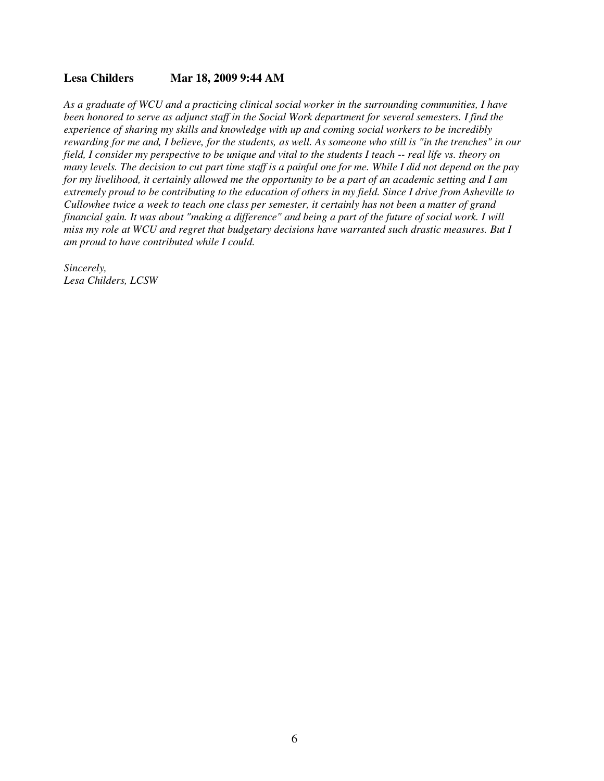#### **Lesa Childers Mar 18, 2009 9:44 AM**

*As a graduate of WCU and a practicing clinical social worker in the surrounding communities, I have been honored to serve as adjunct staff in the Social Work department for several semesters. I find the experience of sharing my skills and knowledge with up and coming social workers to be incredibly rewarding for me and, I believe, for the students, as well. As someone who still is "in the trenches" in our field, I consider my perspective to be unique and vital to the students I teach -- real life vs. theory on many levels. The decision to cut part time staff is a painful one for me. While I did not depend on the pay for my livelihood, it certainly allowed me the opportunity to be a part of an academic setting and I am extremely proud to be contributing to the education of others in my field. Since I drive from Asheville to Cullowhee twice a week to teach one class per semester, it certainly has not been a matter of grand financial gain. It was about "making a difference" and being a part of the future of social work. I will miss my role at WCU and regret that budgetary decisions have warranted such drastic measures. But I am proud to have contributed while I could.* 

*Sincerely, Lesa Childers, LCSW*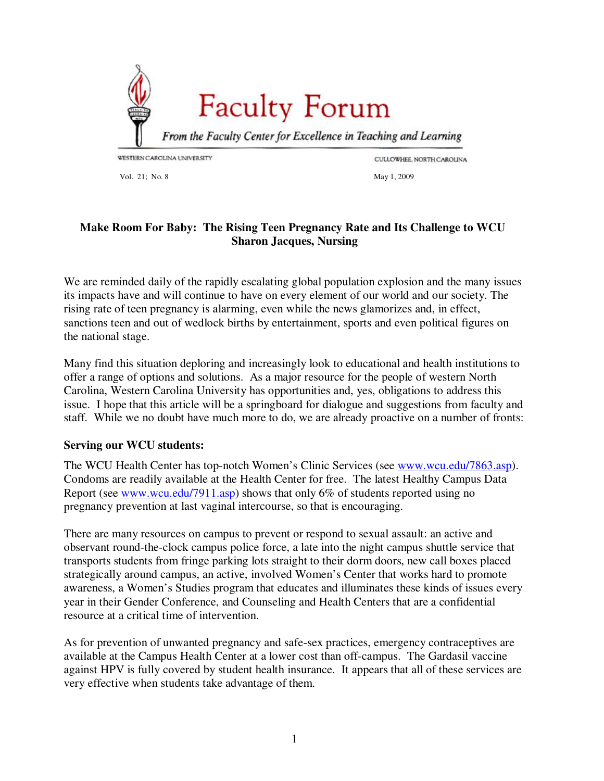<span id="page-27-0"></span>

Vol. 21; No. 8 May 1, 2009

CULLOWHEE, NORTH CAROLINA

### **Make Room For Baby: The Rising Teen Pregnancy Rate and Its Challenge to WCU Sharon Jacques, Nursing**

We are reminded daily of the rapidly escalating global population explosion and the many issues its impacts have and will continue to have on every element of our world and our society. The rising rate of teen pregnancy is alarming, even while the news glamorizes and, in effect, sanctions teen and out of wedlock births by entertainment, sports and even political figures on the national stage.

Many find this situation deploring and increasingly look to educational and health institutions to offer a range of options and solutions. As a major resource for the people of western North Carolina, Western Carolina University has opportunities and, yes, obligations to address this issue. I hope that this article will be a springboard for dialogue and suggestions from faculty and staff. While we no doubt have much more to do, we are already proactive on a number of fronts:

### **Serving our WCU students:**

The WCU Health Center has top-notch Women's Clinic Services (see www.wcu.edu/7863.asp). Condoms are readily available at the Health Center for free. The latest Healthy Campus Data Report (see www.wcu.edu/7911.asp) shows that only 6% of students reported using no pregnancy prevention at last vaginal intercourse, so that is encouraging.

There are many resources on campus to prevent or respond to sexual assault: an active and observant round-the-clock campus police force, a late into the night campus shuttle service that transports students from fringe parking lots straight to their dorm doors, new call boxes placed strategically around campus, an active, involved Women's Center that works hard to promote awareness, a Women's Studies program that educates and illuminates these kinds of issues every year in their Gender Conference, and Counseling and Health Centers that are a confidential resource at a critical time of intervention.

As for prevention of unwanted pregnancy and safe-sex practices, emergency contraceptives are available at the Campus Health Center at a lower cost than off-campus. The Gardasil vaccine against HPV is fully covered by student health insurance. It appears that all of these services are very effective when students take advantage of them.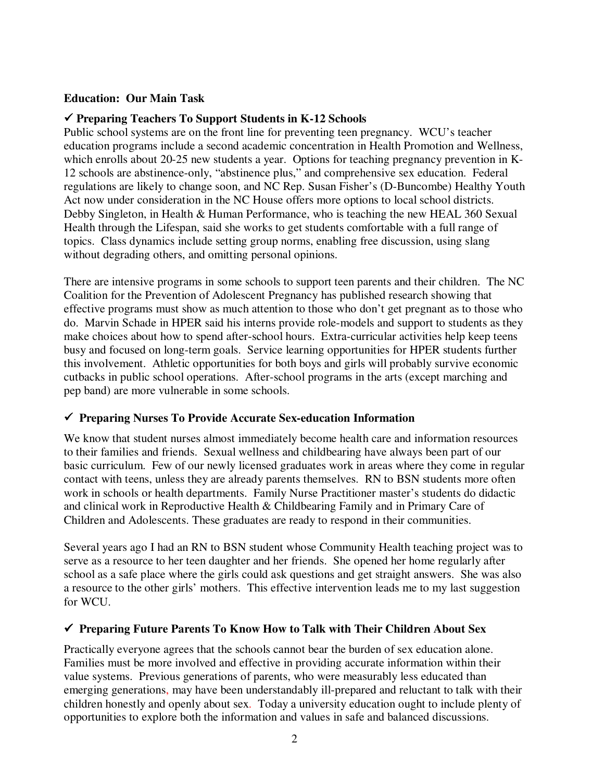### **Education: Our Main Task**

### **Preparing Teachers To Support Students in K-12 Schools**

Public school systems are on the front line for preventing teen pregnancy. WCU's teacher education programs include a second academic concentration in Health Promotion and Wellness, which enrolls about 20-25 new students a year. Options for teaching pregnancy prevention in K-12 schools are abstinence-only, "abstinence plus," and comprehensive sex education. Federal regulations are likely to change soon, and NC Rep. Susan Fisher's (D-Buncombe) Healthy Youth Act now under consideration in the NC House offers more options to local school districts. Debby Singleton, in Health & Human Performance, who is teaching the new HEAL 360 Sexual Health through the Lifespan, said she works to get students comfortable with a full range of topics. Class dynamics include setting group norms, enabling free discussion, using slang without degrading others, and omitting personal opinions.

There are intensive programs in some schools to support teen parents and their children. The NC Coalition for the Prevention of Adolescent Pregnancy has published research showing that effective programs must show as much attention to those who don't get pregnant as to those who do. Marvin Schade in HPER said his interns provide role-models and support to students as they make choices about how to spend after-school hours. Extra-curricular activities help keep teens busy and focused on long-term goals. Service learning opportunities for HPER students further this involvement. Athletic opportunities for both boys and girls will probably survive economic cutbacks in public school operations. After-school programs in the arts (except marching and pep band) are more vulnerable in some schools.

### **Preparing Nurses To Provide Accurate Sex-education Information**

We know that student nurses almost immediately become health care and information resources to their families and friends. Sexual wellness and childbearing have always been part of our basic curriculum. Few of our newly licensed graduates work in areas where they come in regular contact with teens, unless they are already parents themselves. RN to BSN students more often work in schools or health departments. Family Nurse Practitioner master's students do didactic and clinical work in Reproductive Health & Childbearing Family and in Primary Care of Children and Adolescents. These graduates are ready to respond in their communities.

Several years ago I had an RN to BSN student whose Community Health teaching project was to serve as a resource to her teen daughter and her friends. She opened her home regularly after school as a safe place where the girls could ask questions and get straight answers. She was also a resource to the other girls' mothers. This effective intervention leads me to my last suggestion for WCU.

### **Preparing Future Parents To Know How to Talk with Their Children About Sex**

Practically everyone agrees that the schools cannot bear the burden of sex education alone. Families must be more involved and effective in providing accurate information within their value systems. Previous generations of parents, who were measurably less educated than emerging generations, may have been understandably ill-prepared and reluctant to talk with their children honestly and openly about sex. Today a university education ought to include plenty of opportunities to explore both the information and values in safe and balanced discussions.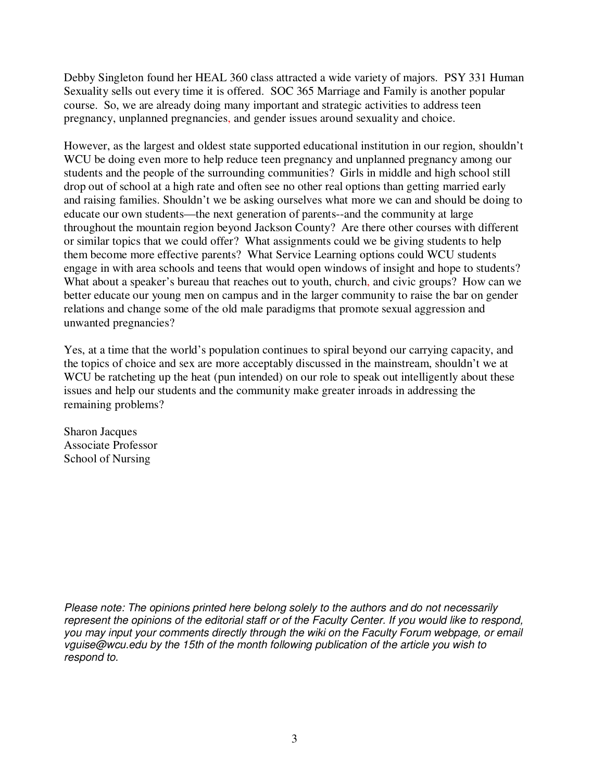Debby Singleton found her HEAL 360 class attracted a wide variety of majors. PSY 331 Human Sexuality sells out every time it is offered. SOC 365 Marriage and Family is another popular course. So, we are already doing many important and strategic activities to address teen pregnancy, unplanned pregnancies, and gender issues around sexuality and choice.

However, as the largest and oldest state supported educational institution in our region, shouldn't WCU be doing even more to help reduce teen pregnancy and unplanned pregnancy among our students and the people of the surrounding communities? Girls in middle and high school still drop out of school at a high rate and often see no other real options than getting married early and raising families. Shouldn't we be asking ourselves what more we can and should be doing to educate our own students—the next generation of parents--and the community at large throughout the mountain region beyond Jackson County? Are there other courses with different or similar topics that we could offer? What assignments could we be giving students to help them become more effective parents? What Service Learning options could WCU students engage in with area schools and teens that would open windows of insight and hope to students? What about a speaker's bureau that reaches out to youth, church, and civic groups? How can we better educate our young men on campus and in the larger community to raise the bar on gender relations and change some of the old male paradigms that promote sexual aggression and unwanted pregnancies?

Yes, at a time that the world's population continues to spiral beyond our carrying capacity, and the topics of choice and sex are more acceptably discussed in the mainstream, shouldn't we at WCU be ratcheting up the heat (pun intended) on our role to speak out intelligently about these issues and help our students and the community make greater inroads in addressing the remaining problems?

Sharon Jacques Associate Professor School of Nursing

Please note: The opinions printed here belong solely to the authors and do not necessarily represent the opinions of the editorial staff or of the Faculty Center. If you would like to respond, you may input your comments directly through the wiki on the Faculty Forum webpage, or email vguise@wcu.edu by the 15th of the month following publication of the article you wish to respond to.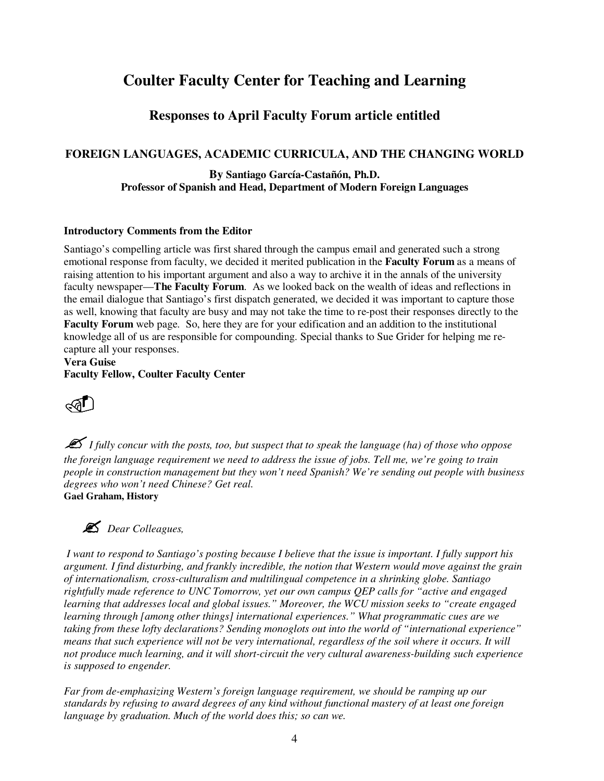## **Coulter Faculty Center for Teaching and Learning**

### **Responses to April Faculty Forum article entitled**

### **FOREIGN LANGUAGES, ACADEMIC CURRICULA, AND THE CHANGING WORLD**

### **By Santiago García-Castañón, Ph.D. Professor of Spanish and Head, Department of Modern Foreign Languages**

### **Introductory Comments from the Editor**

Santiago's compelling article was first shared through the campus email and generated such a strong emotional response from faculty, we decided it merited publication in the **Faculty Forum** as a means of raising attention to his important argument and also a way to archive it in the annals of the university faculty newspaper—**The Faculty Forum**. As we looked back on the wealth of ideas and reflections in the email dialogue that Santiago's first dispatch generated, we decided it was important to capture those as well, knowing that faculty are busy and may not take the time to re-post their responses directly to the **Faculty Forum** web page. So, here they are for your edification and an addition to the institutional knowledge all of us are responsible for compounding. Special thanks to Sue Grider for helping me recapture all your responses.

**Vera Guise Faculty Fellow, Coulter Faculty Center** 



 *I fully concur with the posts, too, but suspect that to speak the language (ha) of those who oppose the foreign language requirement we need to address the issue of jobs. Tell me, we're going to train people in construction management but they won't need Spanish? We're sending out people with business degrees who won't need Chinese? Get real.* **Gael Graham, History** 



*Dear Colleagues,* 

 *I want to respond to Santiago's posting because I believe that the issue is important. I fully support his argument. I find disturbing, and frankly incredible, the notion that Western would move against the grain of internationalism, cross-culturalism and multilingual competence in a shrinking globe. Santiago rightfully made reference to UNC Tomorrow, yet our own campus QEP calls for "active and engaged learning that addresses local and global issues." Moreover, the WCU mission seeks to "create engaged learning through [among other things] international experiences." What programmatic cues are we taking from these lofty declarations? Sending monoglots out into the world of "international experience" means that such experience will not be very international, regardless of the soil where it occurs. It will not produce much learning, and it will short-circuit the very cultural awareness-building such experience is supposed to engender.* 

*Far from de-emphasizing Western's foreign language requirement, we should be ramping up our standards by refusing to award degrees of any kind without functional mastery of at least one foreign language by graduation. Much of the world does this; so can we.*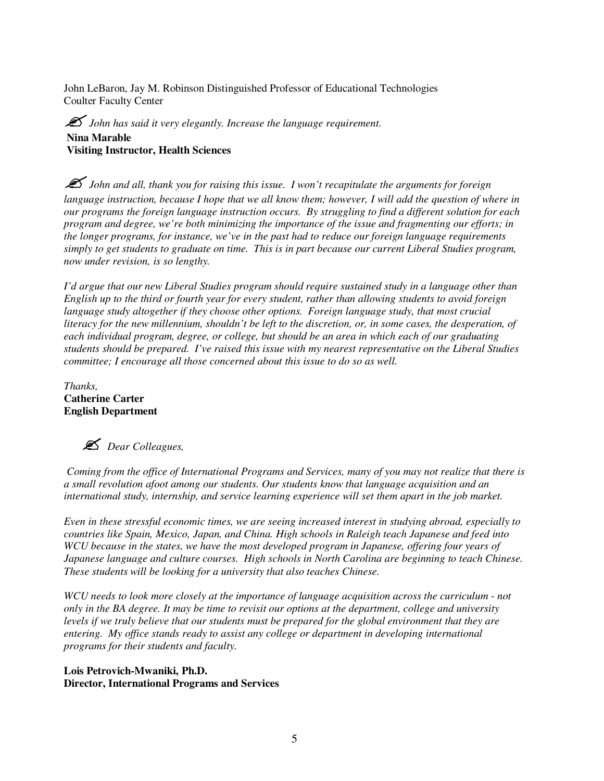John LeBaron, Jay M. Robinson Distinguished Professor of Educational Technologies Coulter Faculty Center

 $\mathscr{\mathscr{L}}$  *John has said it very elegantly. Increase the language requirement.* **Nina Marable Visiting Instructor, Health Sciences** 

 $\mathscr{\mathscr{L}}$  *John and all, thank you for raising this issue. I won't recapitulate the arguments for foreign language instruction, because I hope that we all know them; however, I will add the question of where in our programs the foreign language instruction occurs. By struggling to find a different solution for each program and degree, we're both minimizing the importance of the issue and fragmenting our efforts; in the longer programs, for instance, we've in the past had to reduce our foreign language requirements simply to get students to graduate on time. This is in part because our current Liberal Studies program, now under revision, is so lengthy.* 

*I'd argue that our new Liberal Studies program should require sustained study in a language other than English up to the third or fourth year for every student, rather than allowing students to avoid foreign language study altogether if they choose other options. Foreign language study, that most crucial literacy for the new millennium, shouldn't be left to the discretion, or, in some cases, the desperation, of each individual program, degree, or college, but should be an area in which each of our graduating students should be prepared. I've raised this issue with my nearest representative on the Liberal Studies committee; I encourage all those concerned about this issue to do so as well.* 

*Thanks,*  **Catherine Carter English Department** 



 *Coming from the office of International Programs and Services, many of you may not realize that there is a small revolution afoot among our students. Our students know that language acquisition and an international study, internship, and service learning experience will set them apart in the job market.* 

*Even in these stressful economic times, we are seeing increased interest in studying abroad, especially to countries like Spain, Mexico, Japan, and China. High schools in Raleigh teach Japanese and feed into WCU because in the states, we have the most developed program in Japanese, offering four years of Japanese language and culture courses. High schools in North Carolina are beginning to teach Chinese. These students will be looking for a university that also teaches Chinese.* 

*WCU needs to look more closely at the importance of language acquisition across the curriculum - not only in the BA degree. It may be time to revisit our options at the department, college and university levels if we truly believe that our students must be prepared for the global environment that they are entering. My office stands ready to assist any college or department in developing international programs for their students and faculty.* 

**Lois Petrovich-Mwaniki, Ph.D. Director, International Programs and Services**